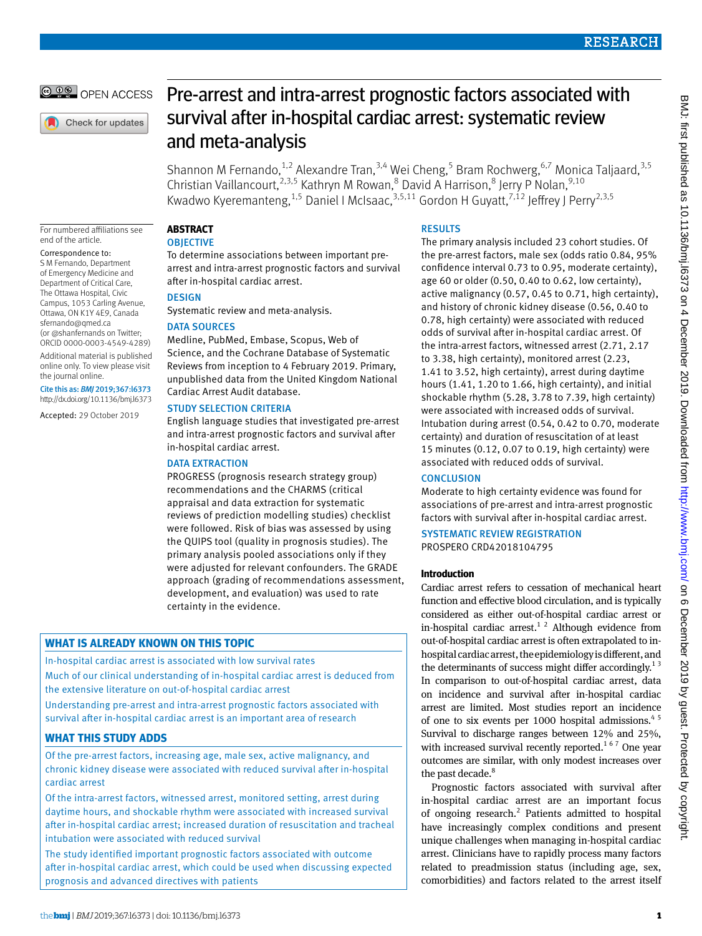© 00 OPEN ACCESS

Check for updates

# Pre-arrest and intra-arrest prognostic factors associated with survival after in-hospital cardiac arrest: systematic review and meta-analysis

Shannon M Fernando, <sup>1,2</sup> Alexandre Tran, <sup>3,4</sup> Wei Cheng, <sup>5</sup> Bram Rochwerg, <sup>6,7</sup> Monica Taljaard, <sup>3,5</sup> Christian Vaillancourt,<sup>2,3,5</sup> Kathryn M Rowan,<sup>8</sup> David A Harrison,<sup>8</sup> Jerry P Nolan,<sup>9,10</sup> Kwadwo Kyeremanteng,  $^{1,5}$  Daniel I McIsaac,  $^{3,5,11}$  Gordon H Guyatt,  $^{7,12}$  Jeffrey J Perry $^{2,3,5}$ 

For numbered affiliations see end of the article.

Correspondence to: S M Fernando, Department

of Emergency Medicine and Department of Critical Care, The Ottawa Hospital, Civic Campus, 1053 Carling Avenue, Ottawa, ON K1Y 4E9, Canada [sfernando@qmed.ca](mailto:sfernando@qmed.ca) (or [@shanfernands](https://twitter.com/shanfernands) on Twitter; ORCID [0000-0003-4549-4289\)](http://orcid.org/0000-0003-4549-4289) Additional material is published online only. To view please visit the journal online.

Cite this as: *BMJ* 2019;367:l6373 http://dx.doi.org/10.1136/bmj.l6373

Accepted: 29 October 2019

**Abstract**

## **OBJECTIVE**

To determine associations between important prearrest and intra-arrest prognostic factors and survival after in-hospital cardiac arrest.

### **DESIGN**

Systematic review and meta-analysis.

### DATA SOURCES

Medline, PubMed, Embase, Scopus, Web of Science, and the Cochrane Database of Systematic Reviews from inception to 4 February 2019. Primary, unpublished data from the United Kingdom National Cardiac Arrest Audit database.

### STUDY SELECTION CRITERIA

English language studies that investigated pre-arrest and intra-arrest prognostic factors and survival after in-hospital cardiac arrest.

### DATA EXTRACTION

PROGRESS (prognosis research strategy group) recommendations and the CHARMS (critical appraisal and data extraction for systematic reviews of prediction modelling studies) checklist were followed. Risk of bias was assessed by using the QUIPS tool (quality in prognosis studies). The primary analysis pooled associations only if they were adjusted for relevant confounders. The GRADE approach (grading of recommendations assessment, development, and evaluation) was used to rate certainty in the evidence.

### **What is already known on this topic**

In-hospital cardiac arrest is associated with low survival rates

Much of our clinical understanding of in-hospital cardiac arrest is deduced from the extensive literature on out-of-hospital cardiac arrest

Understanding pre-arrest and intra-arrest prognostic factors associated with survival after in-hospital cardiac arrest is an important area of research

### **What this study adds**

Of the pre-arrest factors, increasing age, male sex, active malignancy, and chronic kidney disease were associated with reduced survival after in-hospital cardiac arrest

Of the intra-arrest factors, witnessed arrest, monitored setting, arrest during daytime hours, and shockable rhythm were associated with increased survival after in-hospital cardiac arrest; increased duration of resuscitation and tracheal intubation were associated with reduced survival

The study identified important prognostic factors associated with outcome after in-hospital cardiac arrest, which could be used when discussing expected prognosis and advanced directives with patients

### **RESULTS**

The primary analysis included 23 cohort studies. Of the pre-arrest factors, male sex (odds ratio 0.84, 95% confidence interval 0.73 to 0.95, moderate certainty), age 60 or older (0.50, 0.40 to 0.62, low certainty), active malignancy (0.57, 0.45 to 0.71, high certainty), and history of chronic kidney disease (0.56, 0.40 to 0.78, high certainty) were associated with reduced odds of survival after in-hospital cardiac arrest. Of the intra-arrest factors, witnessed arrest (2.71, 2.17 to 3.38, high certainty), monitored arrest (2.23, 1.41 to 3.52, high certainty), arrest during daytime hours (1.41, 1.20 to 1.66, high certainty), and initial shockable rhythm (5.28, 3.78 to 7.39, high certainty) were associated with increased odds of survival. Intubation during arrest (0.54, 0.42 to 0.70, moderate certainty) and duration of resuscitation of at least 15 minutes (0.12, 0.07 to 0.19, high certainty) were associated with reduced odds of survival.

### **CONCLUSION**

Moderate to high certainty evidence was found for associations of pre-arrest and intra-arrest prognostic factors with survival after in-hospital cardiac arrest.

#### Systematic review registration PROSPERO CRD42018104795

### **Introduction**

Cardiac arrest refers to cessation of mechanical heart function and effective blood circulation, and is typically considered as either out-of-hospital cardiac arrest or in-hospital cardiac arrest.<sup>1 2</sup> Although evidence from out-of-hospital cardiac arrest is often extrapolated to inhospital cardiac arrest, the epidemiology is different, and the determinants of success might differ accordingly.<sup>13</sup> In comparison to out-of-hospital cardiac arrest, data on incidence and survival after in-hospital cardiac arrest are limited. Most studies report an incidence of one to six events per 1000 hospital admissions.<sup>45</sup> Survival to discharge ranges between 12% and 25%, with increased survival recently reported.<sup>167</sup> One year outcomes are similar, with only modest increases over the past decade.<sup>8</sup>

Prognostic factors associated with survival after in-hospital cardiac arrest are an important focus of ongoing research.<sup>2</sup> Patients admitted to hospital have increasingly complex conditions and present unique challenges when managing in-hospital cardiac arrest. Clinicians have to rapidly process many factors related to preadmission status (including age, sex, comorbidities) and factors related to the arrest itself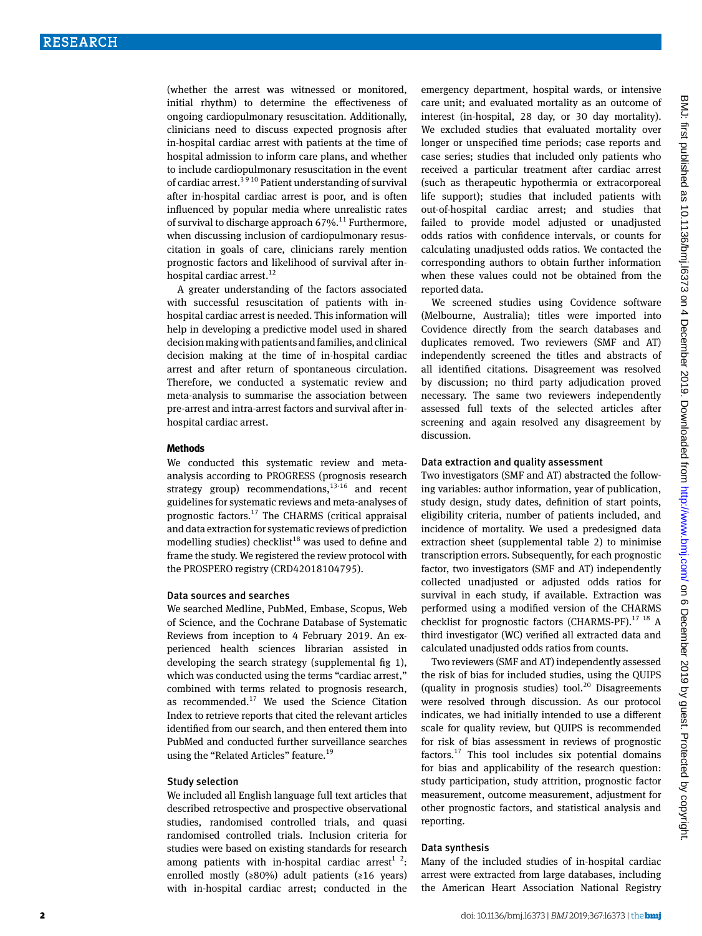(whether the arrest was witnessed or monitored, initial rhythm) to determine the effectiveness of ongoing cardiopulmonary resuscitation. Additionally, clinicians need to discuss expected prognosis after in-hospital cardiac arrest with patients at the time of hospital admission to inform care plans, and whether to include cardiopulmonary resuscitation in the event of cardiac arrest.<sup>39 10</sup> Patient understanding of survival after in-hospital cardiac arrest is poor, and is often influenced by popular media where unrealistic rates of survival to discharge approach  $67\%$ .<sup>11</sup> Furthermore, when discussing inclusion of cardiopulmonary resuscitation in goals of care, clinicians rarely mention prognostic factors and likelihood of survival after inhospital cardiac arrest.<sup>12</sup>

A greater understanding of the factors associated with successful resuscitation of patients with inhospital cardiac arrest is needed. This information will help in developing a predictive model used in shared decision making with patients and families, and clinical decision making at the time of in-hospital cardiac arrest and after return of spontaneous circulation. Therefore, we conducted a systematic review and meta-analysis to summarise the association between pre-arrest and intra-arrest factors and survival after inhospital cardiac arrest.

#### **Methods**

We conducted this systematic review and metaanalysis according to PROGRESS (prognosis research strategy group) recommendations, $13-16$  and recent guidelines for systematic reviews and meta-analyses of prognostic factors.<sup>17</sup> The CHARMS (critical appraisal and data extraction for systematic reviews of prediction modelling studies) checklist<sup>18</sup> was used to define and frame the study. We registered the review protocol with the PROSPERO registry (CRD42018104795).

### Data sources and searches

We searched Medline, PubMed, Embase, Scopus, Web of Science, and the Cochrane Database of Systematic Reviews from inception to 4 February 2019. An experienced health sciences librarian assisted in developing the search strategy (supplemental fig 1), which was conducted using the terms "cardiac arrest," combined with terms related to prognosis research, as recommended. $17$  We used the Science Citation Index to retrieve reports that cited the relevant articles identified from our search, and then entered them into PubMed and conducted further surveillance searches using the "Related Articles" feature.<sup>19</sup>

#### Study selection

We included all English language full text articles that described retrospective and prospective observational studies, randomised controlled trials, and quasi randomised controlled trials. Inclusion criteria for studies were based on existing standards for research among patients with in-hospital cardiac arrest<sup>1</sup> <sup>2</sup>: enrolled mostly ( $\geq 80\%$ ) adult patients ( $\geq 16$  years) with in-hospital cardiac arrest; conducted in the

emergency department, hospital wards, or intensive care unit; and evaluated mortality as an outcome of interest (in-hospital, 28 day, or 30 day mortality). We excluded studies that evaluated mortality over longer or unspecified time periods; case reports and case series; studies that included only patients who received a particular treatment after cardiac arrest (such as therapeutic hypothermia or extracorporeal life support); studies that included patients with out-of-hospital cardiac arrest; and studies that failed to provide model adjusted or unadjusted odds ratios with confidence intervals, or counts for calculating unadjusted odds ratios. We contacted the corresponding authors to obtain further information when these values could not be obtained from the reported data.

We screened studies using Covidence software (Melbourne, Australia); titles were imported into Covidence directly from the search databases and duplicates removed. Two reviewers (SMF and AT) independently screened the titles and abstracts of all identified citations. Disagreement was resolved by discussion; no third party adjudication proved necessary. The same two reviewers independently assessed full texts of the selected articles after screening and again resolved any disagreement by discussion.

#### Data extraction and quality assessment

Two investigators (SMF and AT) abstracted the following variables: author information, year of publication, study design, study dates, definition of start points, eligibility criteria, number of patients included, and incidence of mortality. We used a predesigned data extraction sheet (supplemental table 2) to minimise transcription errors. Subsequently, for each prognostic factor, two investigators (SMF and AT) independently collected unadjusted or adjusted odds ratios for survival in each study, if available. Extraction was performed using a modified version of the CHARMS checklist for prognostic factors (CHARMS-PF).<sup>17 18</sup> A third investigator (WC) verified all extracted data and calculated unadjusted odds ratios from counts.

Two reviewers (SMF and AT) independently assessed the risk of bias for included studies, using the QUIPS (quality in prognosis studies) tool.<sup>20</sup> Disagreements were resolved through discussion. As our protocol indicates, we had initially intended to use a different scale for quality review, but QUIPS is recommended for risk of bias assessment in reviews of prognostic factors. $17$  This tool includes six potential domains for bias and applicability of the research question: study participation, study attrition, prognostic factor measurement, outcome measurement, adjustment for other prognostic factors, and statistical analysis and reporting.

### Data synthesis

Many of the included studies of in-hospital cardiac arrest were extracted from large databases, including the American Heart Association National Registry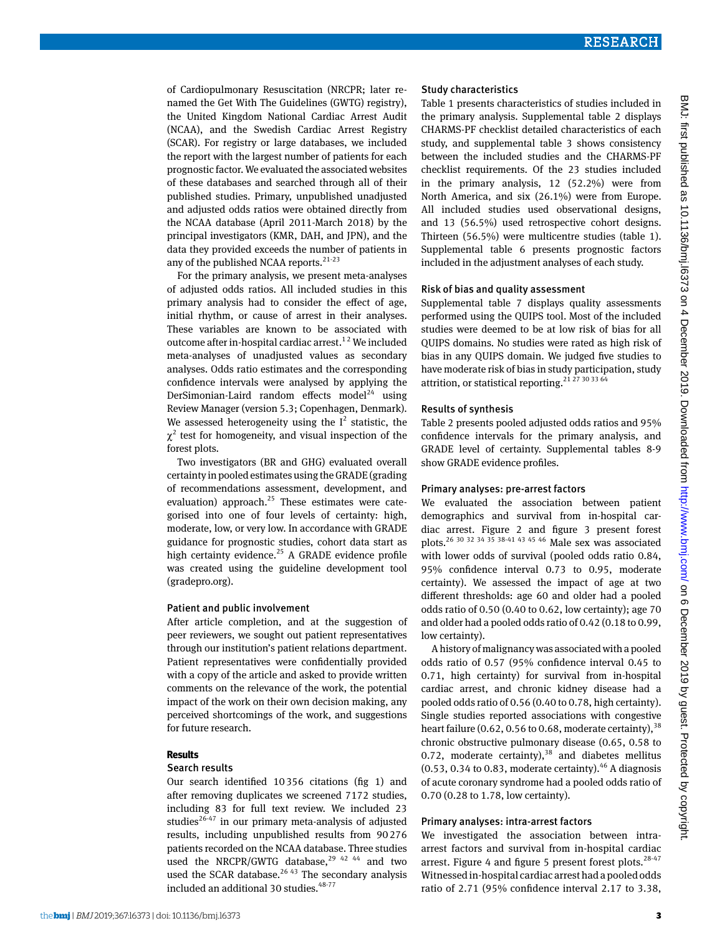of Cardiopulmonary Resuscitation (NRCPR; later renamed the Get With The Guidelines (GWTG) registry), the United Kingdom National Cardiac Arrest Audit (NCAA), and the Swedish Cardiac Arrest Registry (SCAR). For registry or large databases, we included the report with the largest number of patients for each prognostic factor. We evaluated the associated websites of these databases and searched through all of their published studies. Primary, unpublished unadjusted and adjusted odds ratios were obtained directly from the NCAA database (April 2011-March 2018) by the principal investigators (KMR, DAH, and JPN), and the data they provided exceeds the number of patients in any of the published NCAA reports. $21-23$ 

For the primary analysis, we present meta-analyses of adjusted odds ratios. All included studies in this primary analysis had to consider the effect of age, initial rhythm, or cause of arrest in their analyses. These variables are known to be associated with outcome after in-hospital cardiac arrest.<sup>12</sup> We included meta-analyses of unadjusted values as secondary analyses. Odds ratio estimates and the corresponding confidence intervals were analysed by applying the DerSimonian-Laird random effects model<sup>24</sup> using Review Manager (version 5.3; Copenhagen, Denmark). We assessed heterogeneity using the  $I^2$  statistic, the  $\chi^2$  test for homogeneity, and visual inspection of the forest plots.

Two investigators (BR and GHG) evaluated overall certainty in pooled estimates using the GRADE (grading of recommendations assessment, development, and evaluation) approach. $25$  These estimates were categorised into one of four levels of certainty: high, moderate, low, or very low. In accordance with GRADE guidance for prognostic studies, cohort data start as high certainty evidence.<sup>25</sup> A GRADE evidence profile was created using the guideline development tool (gradepro.org).

#### Patient and public involvement

After article completion, and at the suggestion of peer reviewers, we sought out patient representatives through our institution's patient relations department. Patient representatives were confidentially provided with a copy of the article and asked to provide written comments on the relevance of the work, the potential impact of the work on their own decision making, any perceived shortcomings of the work, and suggestions for future research.

### **Results**

#### Search results

Our search identified 10356 citations (fig 1) and after removing duplicates we screened 7172 studies, including 83 for full text review. We included 23 studies $^{26-47}$  in our primary meta-analysis of adjusted results, including unpublished results from 90276 patients recorded on the NCAA database. Three studies used the NRCPR/GWTG database, $29$  42 44 and two used the SCAR database. $2643$  The secondary analysis included an additional 30 studies.<sup>48-77</sup>

#### Study characteristics

Table 1 presents characteristics of studies included in the primary analysis. Supplemental table 2 displays CHARMS-PF checklist detailed characteristics of each study, and supplemental table 3 shows consistency between the included studies and the CHARMS-PF checklist requirements. Of the 23 studies included in the primary analysis, 12 (52.2%) were from North America, and six (26.1%) were from Europe. All included studies used observational designs, and 13 (56.5%) used retrospective cohort designs. Thirteen (56.5%) were multicentre studies (table 1). Supplemental table 6 presents prognostic factors included in the adjustment analyses of each study.

#### Risk of bias and quality assessment

Supplemental table 7 displays quality assessments performed using the QUIPS tool. Most of the included studies were deemed to be at low risk of bias for all QUIPS domains. No studies were rated as high risk of bias in any QUIPS domain. We judged five studies to have moderate risk of bias in study participation, study attrition, or statistical reporting.<sup>21 27 30 33 64</sup>

#### Results of synthesis

Table 2 presents pooled adjusted odds ratios and 95% confidence intervals for the primary analysis, and GRADE level of certainty. Supplemental tables 8-9 show GRADE evidence profiles.

#### Primary analyses: pre-arrest factors

We evaluated the association between patient demographics and survival from in-hospital cardiac arrest. Figure 2 and figure 3 present forest plots.26 30 32 34 35 38-41 43 45 46 Male sex was associated with lower odds of survival (pooled odds ratio 0.84, 95% confidence interval 0.73 to 0.95, moderate certainty). We assessed the impact of age at two different thresholds: age 60 and older had a pooled odds ratio of 0.50 (0.40 to 0.62, low certainty); age 70 and older had a pooled odds ratio of 0.42 (0.18 to 0.99, low certainty).

A history of malignancy was associated with a pooled odds ratio of 0.57 (95% confidence interval 0.45 to 0.71, high certainty) for survival from in-hospital cardiac arrest, and chronic kidney disease had a pooled odds ratio of 0.56 (0.40 to 0.78, high certainty). Single studies reported associations with congestive heart failure (0.62, 0.56 to 0.68, moderate certainty),  $38$ chronic obstructive pulmonary disease (0.65, 0.58 to 0.72, moderate certainty), $38$  and diabetes mellitus (0.53, 0.34 to 0.83, moderate certainty). $46$  A diagnosis of acute coronary syndrome had a pooled odds ratio of 0.70 (0.28 to 1.78, low certainty).

### Primary analyses: intra-arrest factors

We investigated the association between intraarrest factors and survival from in-hospital cardiac arrest. Figure 4 and figure 5 present forest plots. $28-47$ Witnessed in-hospital cardiac arrest had a pooled odds ratio of 2.71 (95% confidence interval 2.17 to 3.38,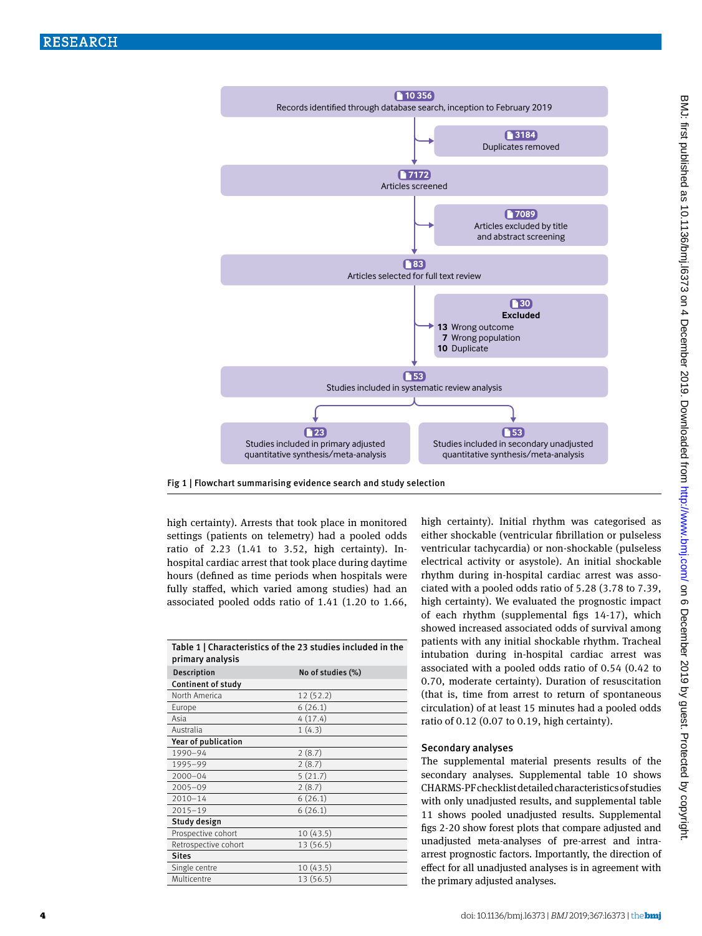



high certainty). Arrests that took place in monitored settings (patients on telemetry) had a pooled odds ratio of 2.23 (1.41 to 3.52, high certainty). Inhospital cardiac arrest that took place during daytime hours (defined as time periods when hospitals were fully staffed, which varied among studies) had an associated pooled odds ratio of 1.41 (1.20 to 1.66,

| Table 1   Characteristics of the 23 studies included in the<br>primary analysis |                   |  |  |  |  |
|---------------------------------------------------------------------------------|-------------------|--|--|--|--|
| Description                                                                     | No of studies (%) |  |  |  |  |
| Continent of study                                                              |                   |  |  |  |  |
| North America                                                                   | 12(52.2)          |  |  |  |  |
| Europe                                                                          | 6(26.1)           |  |  |  |  |
| Asia                                                                            | 4(17.4)           |  |  |  |  |
| Australia                                                                       | 1(4.3)            |  |  |  |  |
| Year of publication                                                             |                   |  |  |  |  |
| 1990-94                                                                         | 2(8.7)            |  |  |  |  |
| 1995-99                                                                         | 2(8.7)            |  |  |  |  |
| $2000 - 04$                                                                     | 5(21.7)           |  |  |  |  |
| $2005 - 09$                                                                     | 2(8.7)            |  |  |  |  |
| $2010 - 14$                                                                     | 6(26.1)           |  |  |  |  |
| $2015 - 19$                                                                     | 6(26.1)           |  |  |  |  |
| Study design                                                                    |                   |  |  |  |  |
| Prospective cohort                                                              | 10(43.5)          |  |  |  |  |
| Retrospective cohort                                                            | 13 (56.5)         |  |  |  |  |
| <b>Sites</b>                                                                    |                   |  |  |  |  |
| Single centre                                                                   | 10(43.5)          |  |  |  |  |
| Multicentre                                                                     | 13 (56.5)         |  |  |  |  |

high certainty). Initial rhythm was categorised as either shockable (ventricular fibrillation or pulseless ventricular tachycardia) or non-shockable (pulseless electrical activity or asystole). An initial shockable rhythm during in-hospital cardiac arrest was associated with a pooled odds ratio of 5.28 (3.78 to 7.39, high certainty). We evaluated the prognostic impact of each rhythm (supplemental figs 14-17), which showed increased associated odds of survival among patients with any initial shockable rhythm. Tracheal intubation during in-hospital cardiac arrest was associated with a pooled odds ratio of 0.54 (0.42 to 0.70, moderate certainty). Duration of resuscitation (that is, time from arrest to return of spontaneous circulation) of at least 15 minutes had a pooled odds ratio of 0.12 (0.07 to 0.19, high certainty).

### Secondary analyses

The supplemental material presents results of the secondary analyses. Supplemental table 10 shows CHARMS-PF checklist detailed characteristics of studies with only unadjusted results, and supplemental table 11 shows pooled unadjusted results. Supplemental figs 2-20 show forest plots that compare adjusted and unadjusted meta-analyses of pre-arrest and intraarrest prognostic factors. Importantly, the direction of effect for all unadjusted analyses is in agreement with the primary adjusted analyses.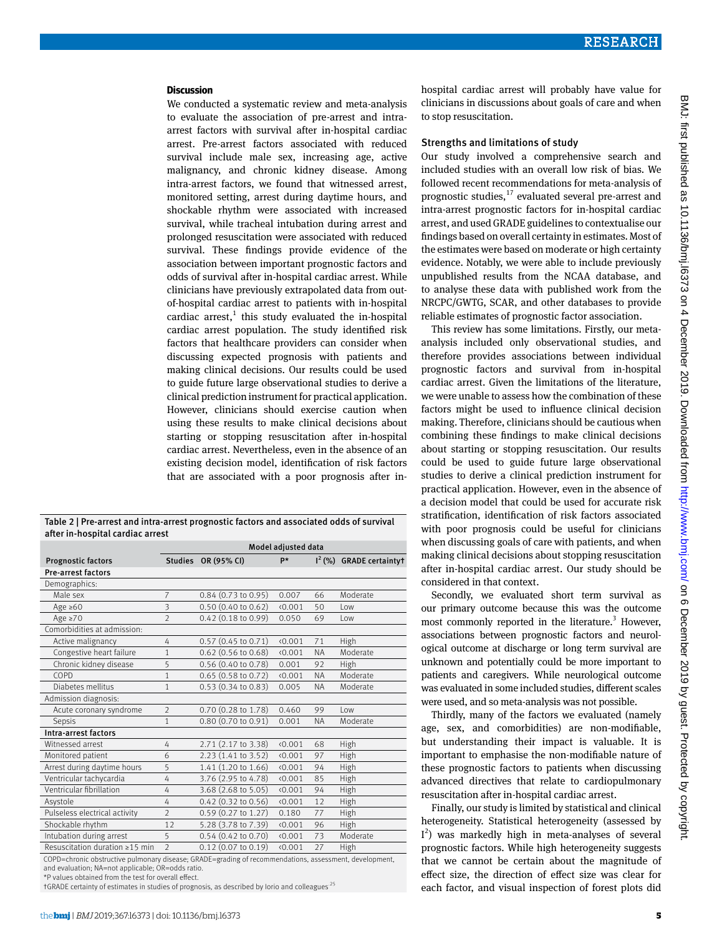#### **Discussion**

We conducted a systematic review and meta-analysis to evaluate the association of pre-arrest and intraarrest factors with survival after in-hospital cardiac arrest. Pre-arrest factors associated with reduced survival include male sex, increasing age, active malignancy, and chronic kidney disease. Among intra-arrest factors, we found that witnessed arrest, monitored setting, arrest during daytime hours, and shockable rhythm were associated with increased survival, while tracheal intubation during arrest and prolonged resuscitation were associated with reduced survival. These findings provide evidence of the association between important prognostic factors and odds of survival after in-hospital cardiac arrest. While clinicians have previously extrapolated data from outof-hospital cardiac arrest to patients with in-hospital cardiac arrest, $<sup>1</sup>$  this study evaluated the in-hospital</sup> cardiac arrest population. The study identified risk factors that healthcare providers can consider when discussing expected prognosis with patients and making clinical decisions. Our results could be used to guide future large observational studies to derive a clinical prediction instrument for practical application. However, clinicians should exercise caution when using these results to make clinical decisions about starting or stopping resuscitation after in-hospital cardiac arrest. Nevertheless, even in the absence of an existing decision model, identification of risk factors that are associated with a poor prognosis after in-

Table 2 | Pre-arrest and intra-arrest prognostic factors and associated odds of survival after in-hospital cardiac arrest

|                                | Model adjusted data |                                                                                                                                                                                                                                                                                                                                                                      |         |           |                                        |
|--------------------------------|---------------------|----------------------------------------------------------------------------------------------------------------------------------------------------------------------------------------------------------------------------------------------------------------------------------------------------------------------------------------------------------------------|---------|-----------|----------------------------------------|
| <b>Prognostic factors</b>      | <b>Studies</b>      | OR (95% CI)                                                                                                                                                                                                                                                                                                                                                          | p*      |           | $I2$ (%) GRADE certainty †             |
| <b>Pre-arrest factors</b>      |                     |                                                                                                                                                                                                                                                                                                                                                                      |         |           |                                        |
| Demographics:                  |                     |                                                                                                                                                                                                                                                                                                                                                                      |         |           |                                        |
| Male sex                       | $\overline{7}$      | $0.84$ (0.73 to 0.95)                                                                                                                                                                                                                                                                                                                                                | 0.007   | 66        | Moderate                               |
| Age $\geq 60$                  | 3                   | 0.50 (0.40 to 0.62)                                                                                                                                                                                                                                                                                                                                                  | 0.001   | 50        | Low                                    |
| Age $\geq 70$                  | $\mathfrak{D}$      | $0.42$ (0.18 to 0.99)                                                                                                                                                                                                                                                                                                                                                | 0.050   | 69        | $1$ OW                                 |
| Comorbidities at admission:    |                     |                                                                                                                                                                                                                                                                                                                                                                      |         |           |                                        |
| Active malignancy              | 4                   | $0.57$ (0.45 to 0.71)                                                                                                                                                                                                                                                                                                                                                | (0.001) | 71        | High                                   |
| Congestive heart failure       | $\mathbf{1}$        | $0.62$ (0.56 to 0.68)                                                                                                                                                                                                                                                                                                                                                | (0.001) | <b>NA</b> | Moderate                               |
| Chronic kidney disease         | 5                   | 0.56 (0.40 to 0.78)                                                                                                                                                                                                                                                                                                                                                  | 0.001   | 92        | High                                   |
| COPD                           | 1                   | 0.65 (0.58 to 0.72)                                                                                                                                                                                                                                                                                                                                                  | (0.001) | <b>NA</b> | Moderate                               |
| Diabetes mellitus              | 1                   | 0.53 (0.34 to 0.83)                                                                                                                                                                                                                                                                                                                                                  | 0.005   | <b>NA</b> | Moderate                               |
| Admission diagnosis:           |                     |                                                                                                                                                                                                                                                                                                                                                                      |         |           |                                        |
| Acute coronary syndrome        | $\overline{2}$      | 0.70 (0.28 to 1.78)                                                                                                                                                                                                                                                                                                                                                  | 0.460   | 99        | Low                                    |
| Sepsis                         | $\mathbf{1}$        | 0.80 (0.70 to 0.91)                                                                                                                                                                                                                                                                                                                                                  | 0.001   | <b>NA</b> | Moderate                               |
| Intra-arrest factors           |                     |                                                                                                                                                                                                                                                                                                                                                                      |         |           |                                        |
| Witnessed arrest               | 4                   | 2.71 (2.17 to 3.38)                                                                                                                                                                                                                                                                                                                                                  | 0.001   | 68        | High                                   |
| Monitored patient              | 6                   | 2.23 (1.41 to 3.52)                                                                                                                                                                                                                                                                                                                                                  | 0.001   | 97        | High                                   |
| Arrest during daytime hours    | 5                   | 1.41 (1.20 to 1.66)                                                                                                                                                                                                                                                                                                                                                  | 0.001   | 94        | High                                   |
| Ventricular tachycardia        | 4                   | 3.76 (2.95 to 4.78)                                                                                                                                                                                                                                                                                                                                                  | 0.001   | 85        | High                                   |
| Ventricular fibrillation       | 4                   | 3.68 (2.68 to 5.05)                                                                                                                                                                                                                                                                                                                                                  | 0.001   | 94        | High                                   |
| Asystole                       | 4                   | 0.42 (0.32 to 0.56)                                                                                                                                                                                                                                                                                                                                                  | 0.001   | 12        | High                                   |
| Pulseless electrical activity  | $\mathfrak{D}$      | 0.59 (0.27 to 1.27)                                                                                                                                                                                                                                                                                                                                                  | 0.180   | 77        | High                                   |
| Shockable rhythm               | 12                  | 5.28 (3.78 to 7.39)                                                                                                                                                                                                                                                                                                                                                  | 0.001   | 96        | High                                   |
| Intubation during arrest       | 5                   | 0.54 (0.42 to 0.70)                                                                                                                                                                                                                                                                                                                                                  | (0.001) | 73        | Moderate                               |
| Resuscitation duration ≥15 min | $\overline{2}$      | $0.12$ (0.07 to 0.19)<br>$CDMDE$ $\qquad$ $\qquad$ $\qquad$ $\qquad$ $\qquad$ $\qquad$ $\qquad$ $\qquad$ $\qquad$ $\qquad$ $\qquad$ $\qquad$ $\qquad$ $\qquad$ $\qquad$ $\qquad$ $\qquad$ $\qquad$ $\qquad$ $\qquad$ $\qquad$ $\qquad$ $\qquad$ $\qquad$ $\qquad$ $\qquad$ $\qquad$ $\qquad$ $\qquad$ $\qquad$ $\qquad$ $\qquad$ $\qquad$ $\qquad$ $\qquad$ $\qquad$ | 0.001   | 27        | High<br>and the company of the company |

=chronic obstructive pulmonary disease; GRADI and evaluation; NA=not applicable; OR=odds ratio.

\*P values obtained from the test for overall effect.

 $t$ GRADE certainty of estimates in studies of prognosis, as described by Iorio and colleagues<sup>25</sup>

hospital cardiac arrest will probably have value for clinicians in discussions about goals of care and when to stop resuscitation.

#### Strengths and limitations of study

Our study involved a comprehensive search and included studies with an overall low risk of bias. We followed recent recommendations for meta-analysis of prognostic studies, $^{17}$  evaluated several pre-arrest and intra-arrest prognostic factors for in-hospital cardiac arrest, and used GRADE guidelines to contextualise our findings based on overall certainty in estimates. Most of the estimates were based on moderate or high certainty evidence. Notably, we were able to include previously unpublished results from the NCAA database, and to analyse these data with published work from the NRCPC/GWTG, SCAR, and other databases to provide reliable estimates of prognostic factor association.

This review has some limitations. Firstly, our metaanalysis included only observational studies, and therefore provides associations between individual prognostic factors and survival from in-hospital cardiac arrest. Given the limitations of the literature, we were unable to assess how the combination of these factors might be used to influence clinical decision making. Therefore, clinicians should be cautious when combining these findings to make clinical decisions about starting or stopping resuscitation. Our results could be used to guide future large observational studies to derive a clinical prediction instrument for practical application. However, even in the absence of a decision model that could be used for accurate risk stratification, identification of risk factors associated with poor prognosis could be useful for clinicians when discussing goals of care with patients, and when making clinical decisions about stopping resuscitation after in-hospital cardiac arrest. Our study should be considered in that context.

Secondly, we evaluated short term survival as our primary outcome because this was the outcome most commonly reported in the literature.<sup>3</sup> However, associations between prognostic factors and neurological outcome at discharge or long term survival are unknown and potentially could be more important to patients and caregivers. While neurological outcome was evaluated in some included studies, different scales were used, and so meta-analysis was not possible.

Thirdly, many of the factors we evaluated (namely age, sex, and comorbidities) are non-modifiable, but understanding their impact is valuable. It is important to emphasise the non-modifiable nature of these prognostic factors to patients when discussing advanced directives that relate to cardiopulmonary resuscitation after in-hospital cardiac arrest.

Finally, our study is limited by statistical and clinical heterogeneity. Statistical heterogeneity (assessed by I 2 ) was markedly high in meta-analyses of several prognostic factors. While high heterogeneity suggests that we cannot be certain about the magnitude of effect size, the direction of effect size was clear for each factor, and visual inspection of forest plots did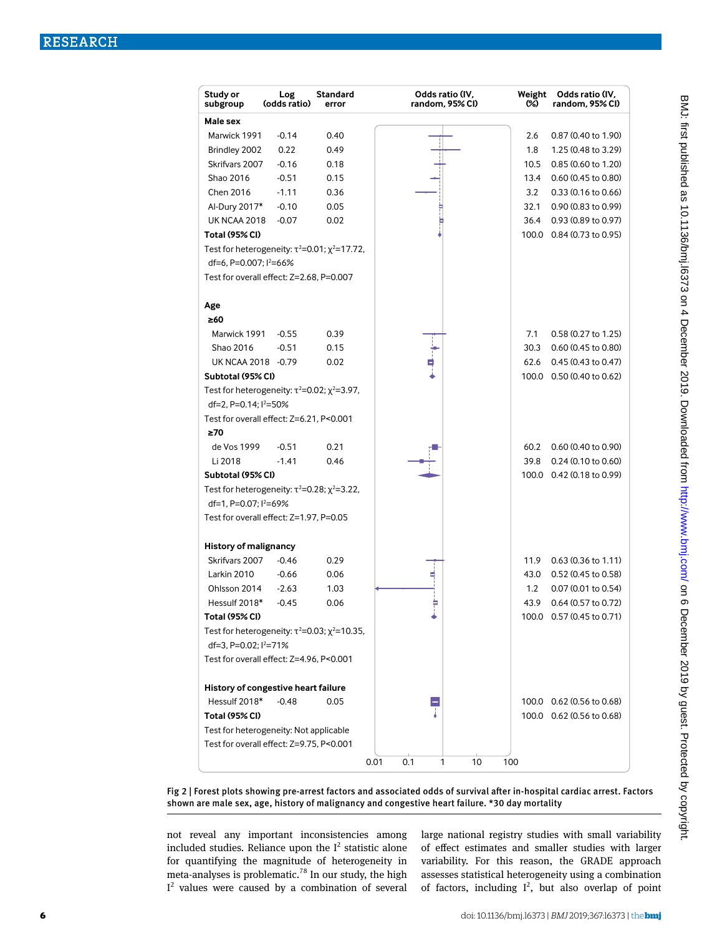| Study or<br>subgroup               | Log<br>(odds ratio)                                          | Standard<br>error | Odds ratio (IV,<br>random. 95% CI) | Weight<br>(%) | Odds ratio (IV,<br>random, 95% CI) |
|------------------------------------|--------------------------------------------------------------|-------------------|------------------------------------|---------------|------------------------------------|
| Male sex                           |                                                              |                   |                                    |               |                                    |
| Marwick 1991                       | $-0.14$                                                      | 0.40              |                                    | 2.6           | 0.87 (0.40 to 1.90)                |
| Brindley 2002                      | 0.22                                                         | 0.49              |                                    | 1.8           | 1.25 (0.48 to 3.29)                |
| Skrifvars 2007                     | $-0.16$                                                      | 0.18              |                                    | 10.5          | 0.85 (0.60 to 1.20)                |
| Shao 2016                          | $-0.51$                                                      | 0.15              |                                    | 13.4          | 0.60 (0.45 to 0.80)                |
| Chen 2016                          | $-1.11$                                                      | 0.36              |                                    | 3.2           | $0.33(0.16 \text{ to } 0.66)$      |
| Al-Dury 2017*                      | $-0.10$                                                      | 0.05              |                                    | 32.1          | 0.90 (0.83 to 0.99)                |
| <b>UK NCAA 2018</b>                | $-0.07$                                                      | 0.02              |                                    | 36.4          | 0.93 (0.89 to 0.97)                |
| Total (95% CI)                     |                                                              |                   |                                    |               | 100.0 0.84 (0.73 to 0.95)          |
|                                    | Test for heterogeneity: $\tau^2 = 0.01$ ; $\chi^2 = 17.72$ , |                   |                                    |               |                                    |
| df=6, P=0.007; l <sup>2</sup> =66% |                                                              |                   |                                    |               |                                    |
|                                    | Test for overall effect: Z=2.68, P=0.007                     |                   |                                    |               |                                    |
| Age                                |                                                              |                   |                                    |               |                                    |
| ≥60                                |                                                              |                   |                                    |               |                                    |
| Marwick 1991                       | $-0.55$                                                      | 0.39              |                                    | 7.1           | 0.58 (0.27 to 1.25)                |
| Shao 2016                          | $-0.51$                                                      | 0.15              |                                    | 30.3          | 0.60 (0.45 to 0.80)                |
| UK NCAA 2018 -0.79                 |                                                              | 0.02              |                                    | 62.6          | 0.45 (0.43 to 0.47)                |
| Subtotal (95% CI)                  |                                                              |                   |                                    |               | 100.0 0.50 (0.40 to 0.62)          |
|                                    | Test for heterogeneity: $\tau^2 = 0.02$ ; $\chi^2 = 3.97$ ,  |                   |                                    |               |                                    |
| df=2, P=0.14; l <sup>2</sup> =50%  |                                                              |                   |                                    |               |                                    |
|                                    | Test for overall effect: Z=6.21, P<0.001                     |                   |                                    |               |                                    |
| $\geq 70$                          |                                                              |                   |                                    |               |                                    |
| de Vos 1999                        | $-0.51$                                                      | 0.21              |                                    | 60.2          | 0.60 (0.40 to 0.90)                |
| Li 2018                            | $-1.41$                                                      | 0.46              |                                    | 39.8          | $0.24$ (0.10 to 0.60)              |
| Subtotal (95% CI)                  |                                                              |                   |                                    |               | 100.0 0.42 (0.18 to 0.99)          |
|                                    | Test for heterogeneity: $\tau^2 = 0.28$ ; $\chi^2 = 3.22$ ,  |                   |                                    |               |                                    |
| df=1, P=0.07; l <sup>2</sup> =69%  |                                                              |                   |                                    |               |                                    |
|                                    | Test for overall effect: Z=1.97, P=0.05                      |                   |                                    |               |                                    |
| <b>History of malignancy</b>       |                                                              |                   |                                    |               |                                    |
| Skrifvars 2007                     | $-0.46$                                                      | 0.29              |                                    | 11.9          | $0.63(0.36 \text{ to } 1.11)$      |
| Larkin 2010                        | $-0.66$                                                      | 0.06              |                                    | 43.0          | 0.52 (0.45 to 0.58)                |
| Ohlsson 2014                       | $-2.63$                                                      | 1.03              |                                    | 1.2           | 0.07 (0.01 to 0.54)                |
| Hessulf 2018*                      | $-0.45$                                                      | 0.06              |                                    | 43.9          | 0.64 (0.57 to 0.72)                |
| <b>Total (95% CI)</b>              |                                                              |                   |                                    |               | 100.0 0.57 (0.45 to 0.71)          |
|                                    | Test for heterogeneity: $\tau^2 = 0.03$ ; $\chi^2 = 10.35$ , |                   |                                    |               |                                    |
| df=3, P=0.02; $1^{2}$ =71%         |                                                              |                   |                                    |               |                                    |
|                                    | Test for overall effect: Z=4.96, P<0.001                     |                   |                                    |               |                                    |
|                                    | History of congestive heart failure                          |                   |                                    |               |                                    |
| Hessulf 2018*                      | $-0.48$                                                      | 0.05              |                                    |               | 100.0 0.62 (0.56 to 0.68)          |
| <b>Total (95% CI)</b>              |                                                              |                   |                                    |               | 100.0 0.62 (0.56 to 0.68)          |
|                                    | Test for heterogeneity: Not applicable                       |                   |                                    |               |                                    |
|                                    | Test for overall effect: Z=9.75, P<0.001                     |                   |                                    |               |                                    |
|                                    |                                                              |                   | 0.1<br>10<br>0.01<br>1             | 100           |                                    |

Fig 2 | Forest plots showing pre-arrest factors and associated odds of survival after in-hospital cardiac arrest. Factors shown are male sex, age, history of malignancy and congestive heart failure. \*30 day mortality

not reveal any important inconsistencies among included studies. Reliance upon the  $I^2$  statistic alone for quantifying the magnitude of heterogeneity in meta-analyses is problematic.<sup>78</sup> In our study, the high  $I<sup>2</sup>$  values were caused by a combination of several large national registry studies with small variability of effect estimates and smaller studies with larger variability. For this reason, the GRADE approach assesses statistical heterogeneity using a combination of factors, including  $I^2$ , but also overlap of point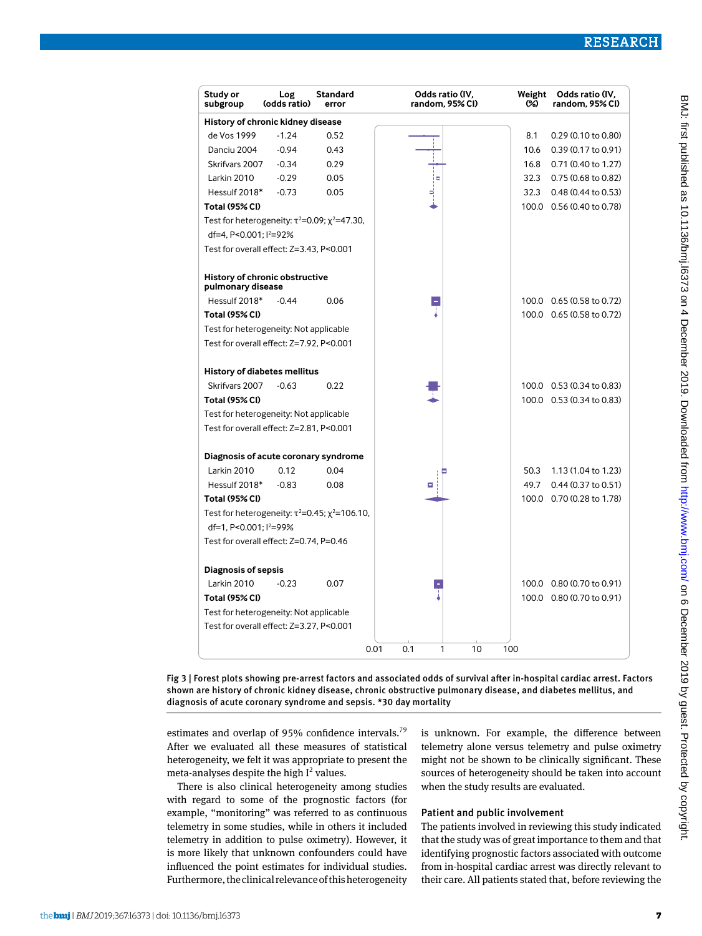| Study or<br>subgroup                                                               | Log<br>(odds ratio)                      | <b>Standard</b><br>error                                      | Odds ratio (IV,<br>random, 95% CI) | Weight<br>ශ | Odds ratio (IV,<br>random, 95% CI) |  |
|------------------------------------------------------------------------------------|------------------------------------------|---------------------------------------------------------------|------------------------------------|-------------|------------------------------------|--|
| History of chronic kidney disease                                                  |                                          |                                                               |                                    |             |                                    |  |
| de Vos 1999                                                                        | $-1.24$                                  | 0.52                                                          |                                    | 8.1         | 0.29 (0.10 to 0.80)                |  |
| Danciu 2004                                                                        | $-0.94$                                  | 0.43                                                          |                                    | 10.6        | 0.39 (0.17 to 0.91)                |  |
| Skrifvars 2007                                                                     | $-0.34$                                  | 0.29                                                          |                                    | 16.8        | 0.71 (0.40 to 1.27)                |  |
| Larkin 2010                                                                        | $-0.29$                                  | 0.05                                                          | $\blacksquare$                     | 32.3        | 0.75 (0.68 to 0.82)                |  |
| Hessulf 2018*                                                                      | $-0.73$                                  | 0.05                                                          |                                    | 32.3        | $0.48(0.44 \text{ to } 0.53)$      |  |
| <b>Total (95% CI)</b>                                                              |                                          |                                                               |                                    |             | 100.0 0.56 (0.40 to 0.78)          |  |
| Test for heterogeneity: $\tau^2 = 0.09$ ; $\chi^2 = 47.30$ ,                       |                                          |                                                               |                                    |             |                                    |  |
| df=4, P<0.001; l <sup>2</sup> =92%                                                 |                                          |                                                               |                                    |             |                                    |  |
|                                                                                    | Test for overall effect: Z=3.43, P<0.001 |                                                               |                                    |             |                                    |  |
| pulmonary disease                                                                  | History of chronic obstructive           |                                                               |                                    |             |                                    |  |
| Hessulf 2018*                                                                      | $-0.44$                                  | 0.06                                                          |                                    |             | 100.0 0.65 (0.58 to 0.72)          |  |
| <b>Total (95% CI)</b>                                                              |                                          |                                                               |                                    |             | 100.0 0.65 (0.58 to 0.72)          |  |
| Test for heterogeneity: Not applicable                                             |                                          |                                                               |                                    |             |                                    |  |
| Test for overall effect: Z=7.92, P<0.001                                           |                                          |                                                               |                                    |             |                                    |  |
|                                                                                    |                                          |                                                               |                                    |             |                                    |  |
|                                                                                    | <b>History of diabetes mellitus</b>      |                                                               |                                    |             |                                    |  |
| Skrifvars 2007                                                                     | $-0.63$                                  | 0.22                                                          |                                    |             | 100.0 0.53 (0.34 to 0.83)          |  |
| <b>Total (95% CI)</b>                                                              |                                          |                                                               |                                    |             | 100.0 0.53 (0.34 to 0.83)          |  |
| Test for heterogeneity: Not applicable                                             |                                          |                                                               |                                    |             |                                    |  |
| Test for overall effect: Z=2.81, P<0.001                                           |                                          |                                                               |                                    |             |                                    |  |
|                                                                                    | Diagnosis of acute coronary syndrome     |                                                               |                                    |             |                                    |  |
| Larkin 2010                                                                        | 0.12                                     | 0.04                                                          |                                    | 50.3        | 1.13 (1.04 to 1.23)                |  |
| Hessulf 2018*                                                                      | $-0.83$                                  | 0.08                                                          |                                    | 49.7        | 0.44 (0.37 to 0.51)                |  |
| <b>Total (95% CI)</b>                                                              |                                          |                                                               |                                    |             | 100.0 0.70 (0.28 to 1.78)          |  |
|                                                                                    |                                          | Test for heterogeneity: $\tau^2 = 0.45$ ; $\chi^2 = 106.10$ , |                                    |             |                                    |  |
| df=1, P<0.001; l <sup>2</sup> =99%                                                 |                                          |                                                               |                                    |             |                                    |  |
| Test for overall effect: Z=0.74, P=0.46                                            |                                          |                                                               |                                    |             |                                    |  |
|                                                                                    |                                          |                                                               |                                    |             |                                    |  |
| <b>Diagnosis of sepsis</b><br>Larkin 2010                                          | $-0.23$                                  | 0.07                                                          |                                    |             | 100.0 0.80 (0.70 to 0.91)          |  |
| <b>Total (95% CI)</b>                                                              |                                          |                                                               |                                    |             | 100.0 0.80 (0.70 to 0.91)          |  |
|                                                                                    |                                          |                                                               |                                    |             |                                    |  |
| Test for heterogeneity: Not applicable<br>Test for overall effect: Z=3.27, P<0.001 |                                          |                                                               |                                    |             |                                    |  |
|                                                                                    |                                          |                                                               |                                    |             |                                    |  |
|                                                                                    |                                          |                                                               | 0.01<br>0.1<br>1<br>10             | 100         |                                    |  |

Fig 3 | Forest plots showing pre-arrest factors and associated odds of survival after in-hospital cardiac arrest. Factors shown are history of chronic kidney disease, chronic obstructive pulmonary disease, and diabetes mellitus, and diagnosis of acute coronary syndrome and sepsis. \*30 day mortality

estimates and overlap of 95% confidence intervals.<sup>79</sup> After we evaluated all these measures of statistical heterogeneity, we felt it was appropriate to present the meta-analyses despite the high  $I^2$  values.

There is also clinical heterogeneity among studies with regard to some of the prognostic factors (for example, "monitoring" was referred to as continuous telemetry in some studies, while in others it included telemetry in addition to pulse oximetry). However, it is more likely that unknown confounders could have influenced the point estimates for individual studies. Furthermore, the clinical relevance of this heterogeneity is unknown. For example, the difference between telemetry alone versus telemetry and pulse oximetry might not be shown to be clinically significant. These sources of heterogeneity should be taken into account when the study results are evaluated.

#### Patient and public involvement

The patients involved in reviewing this study indicated that the study was of great importance to them and that identifying prognostic factors associated with outcome from in-hospital cardiac arrest was directly relevant to their care. All patients stated that, before reviewing the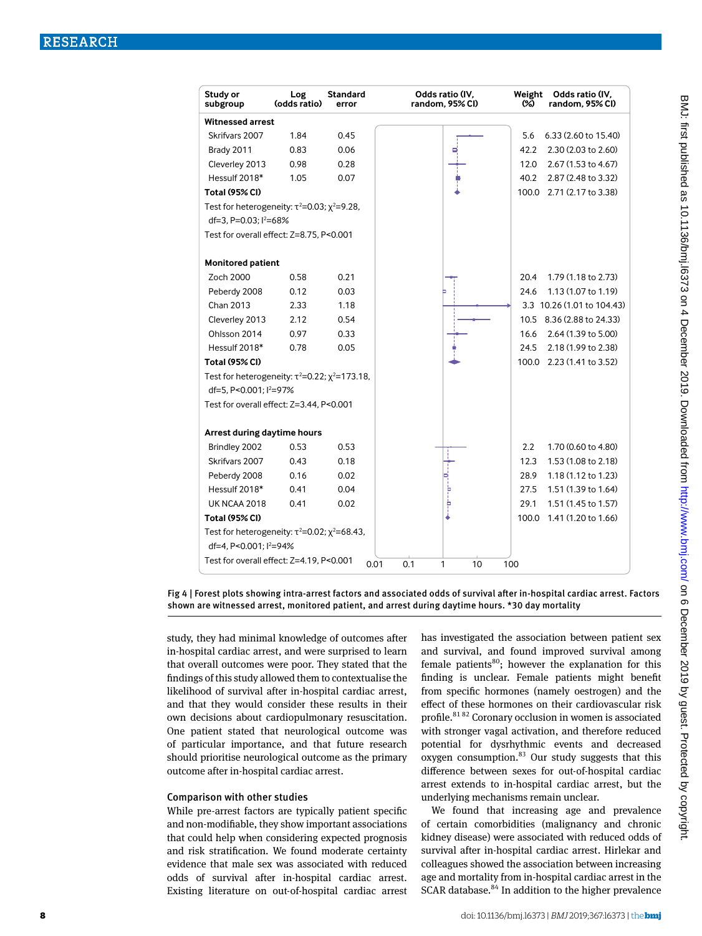| Study or<br>subgroup                                          | Log<br>(odds ratio) | <b>Standard</b><br>error | Odds ratio (IV,<br>random, 95% CI) | Weight<br>Odds ratio (IV,<br>ശ<br>random, 95% CI) |
|---------------------------------------------------------------|---------------------|--------------------------|------------------------------------|---------------------------------------------------|
| Witnessed arrest                                              |                     |                          |                                    |                                                   |
| Skrifvars 2007                                                | 1.84                | 0.45                     |                                    | 5.6<br>6.33 (2.60 to 15.40)                       |
| Brady 2011                                                    | 0.83                | 0.06                     |                                    | 42.2<br>2.30 (2.03 to 2.60)                       |
| Cleverley 2013                                                | 0.98                | 0.28                     |                                    | 2.67 (1.53 to 4.67)<br>12.0                       |
| Hessulf 2018*                                                 | 1.05                | 0.07                     |                                    | 40.2<br>2.87 (2.48 to 3.32)                       |
| <b>Total (95% CI)</b>                                         |                     |                          |                                    | 2.71 (2.17 to 3.38)<br>100.0                      |
| Test for heterogeneity: $\tau^2 = 0.03$ ; $\chi^2 = 9.28$ ,   |                     |                          |                                    |                                                   |
| df=3, P=0.03; l <sup>2</sup> =68%                             |                     |                          |                                    |                                                   |
| Test for overall effect: Z=8.75, P<0.001                      |                     |                          |                                    |                                                   |
| <b>Monitored patient</b>                                      |                     |                          |                                    |                                                   |
| Zoch 2000                                                     | 0.58                | 0.21                     |                                    | 1.79 (1.18 to 2.73)<br>20.4                       |
| Peberdy 2008                                                  | 0.12                | 0.03                     |                                    | 1.13 (1.07 to 1.19)<br>24.6                       |
| Chan 2013                                                     | 2.33                | 1.18                     |                                    | 3.3 10.26 (1.01 to 104.43)                        |
| Cleverley 2013                                                | 2.12                | 0.54                     |                                    | 10.5 8.36 (2.88 to 24.33)                         |
| Ohlsson 2014                                                  | 0.97                | 0.33                     |                                    | 16.6<br>2.64 (1.39 to 5.00)                       |
| Hessulf 2018*                                                 | 0.78                | 0.05                     |                                    | 2.18 (1.99 to 2.38)<br>24.5                       |
| <b>Total (95% CI)</b>                                         |                     |                          |                                    | 100.0 2.23 (1.41 to 3.52)                         |
| Test for heterogeneity: $\tau^2 = 0.22$ ; $\chi^2 = 173.18$ , |                     |                          |                                    |                                                   |
| df=5, P<0.001; l <sup>2</sup> =97%                            |                     |                          |                                    |                                                   |
| Test for overall effect: Z=3.44, P<0.001                      |                     |                          |                                    |                                                   |
| Arrest during daytime hours                                   |                     |                          |                                    |                                                   |
| Brindley 2002                                                 | 0.53                | 0.53                     |                                    | 2.2<br>1.70 (0.60 to 4.80)                        |
| Skrifvars 2007                                                | 0.43                | 0.18                     |                                    | 12.3<br>1.53 (1.08 to 2.18)                       |
| Peberdy 2008                                                  | 0.16                | 0.02                     |                                    | 28.9<br>1.18 (1.12 to 1.23)                       |
| Hessulf 2018*                                                 | 0.41                | 0.04                     | þ                                  | 1.51 (1.39 to 1.64)<br>27.5                       |
| <b>UK NCAA 2018</b>                                           | 0.41                | 0.02                     | Þ                                  | 29.1<br>1.51 (1.45 to 1.57)                       |
| <b>Total (95% CI)</b>                                         |                     |                          |                                    | 1.41 (1.20 to 1.66)<br>100.0                      |
| Test for heterogeneity: $\tau^2 = 0.02$ ; $\chi^2 = 68.43$ ,  |                     |                          |                                    |                                                   |
| df=4, P<0.001; l <sup>2</sup> =94%                            |                     |                          |                                    |                                                   |
| Test for overall effect: Z=4.19, P<0.001                      |                     | 0.01                     | 0.1<br>10<br>1                     | 100                                               |

Fig 4 | Forest plots showing intra-arrest factors and associated odds of survival after in-hospital cardiac arrest. Factors shown are witnessed arrest, monitored patient, and arrest during daytime hours. \*30 day mortality

study, they had minimal knowledge of outcomes after in-hospital cardiac arrest, and were surprised to learn that overall outcomes were poor. They stated that the findings of this study allowed them to contextualise the likelihood of survival after in-hospital cardiac arrest, and that they would consider these results in their own decisions about cardiopulmonary resuscitation. One patient stated that neurological outcome was of particular importance, and that future research should prioritise neurological outcome as the primary outcome after in-hospital cardiac arrest.

#### Comparison with other studies

While pre-arrest factors are typically patient specific and non-modifiable, they show important associations that could help when considering expected prognosis and risk stratification. We found moderate certainty evidence that male sex was associated with reduced odds of survival after in-hospital cardiac arrest. Existing literature on out-of-hospital cardiac arrest has investigated the association between patient sex and survival, and found improved survival among female patients $^{80}$ ; however the explanation for this finding is unclear. Female patients might benefit from specific hormones (namely oestrogen) and the effect of these hormones on their cardiovascular risk profile.<sup>81 82</sup> Coronary occlusion in women is associated with stronger vagal activation, and therefore reduced potential for dysrhythmic events and decreased oxygen consumption. $83$  Our study suggests that this difference between sexes for out-of-hospital cardiac arrest extends to in-hospital cardiac arrest, but the underlying mechanisms remain unclear.

We found that increasing age and prevalence of certain comorbidities (malignancy and chronic kidney disease) were associated with reduced odds of survival after in-hospital cardiac arrest. Hirlekar and colleagues showed the association between increasing age and mortality from in-hospital cardiac arrest in the SCAR database.<sup>84</sup> In addition to the higher prevalence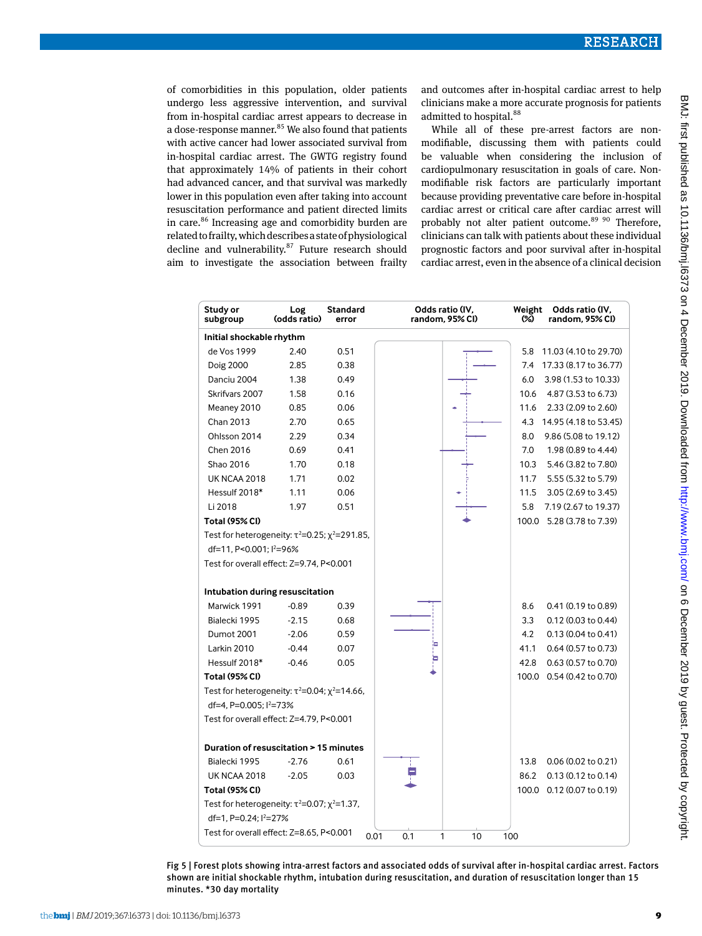of comorbidities in this population, older patients undergo less aggressive intervention, and survival from in-hospital cardiac arrest appears to decrease in a dose-response manner.<sup>85</sup> We also found that patients with active cancer had lower associated survival from in-hospital cardiac arrest. The GWTG registry found that approximately 14% of patients in their cohort had advanced cancer, and that survival was markedly lower in this population even after taking into account resuscitation performance and patient directed limits in care.<sup>86</sup> Increasing age and comorbidity burden are related to frailty, which describes a state of physiological decline and vulnerability. $87$  Future research should aim to investigate the association between frailty and outcomes after in-hospital cardiac arrest to help clinicians make a more accurate prognosis for patients admitted to hospital.<sup>88</sup>

While all of these pre-arrest factors are nonmodifiable, discussing them with patients could be valuable when considering the inclusion of cardiopulmonary resuscitation in goals of care. Nonmodifiable risk factors are particularly important because providing preventative care before in-hospital cardiac arrest or critical care after cardiac arrest will probably not alter patient outcome.<sup>89 90</sup> Therefore, clinicians can talk with patients about these individual prognostic factors and poor survival after in-hospital cardiac arrest, even in the absence of a clinical decision

| Study or<br>subgroup                                                      | Log<br>(odds ratio) | <b>Standard</b><br>error | Odds ratio (IV,<br>random, 95% CI) | Weight<br>Odds ratio (IV,<br>ශ<br>random, 95% CI) |
|---------------------------------------------------------------------------|---------------------|--------------------------|------------------------------------|---------------------------------------------------|
| Initial shockable rhythm                                                  |                     |                          |                                    |                                                   |
| de Vos 1999                                                               | 2.40                | 0.51                     |                                    | 5.8<br>11.03 (4.10 to 29.70)                      |
| <b>Doig 2000</b>                                                          | 2.85                | 0.38                     |                                    | 7.4<br>17.33 (8.17 to 36.77)                      |
| Danciu 2004                                                               | 1.38                | 0.49                     |                                    | 3.98 (1.53 to 10.33)<br>6.0                       |
| Skrifvars 2007                                                            | 1.58                | 0.16                     |                                    | 4.87 (3.53 to 6.73)<br>10.6                       |
| Meaney 2010                                                               | 0.85                | 0.06                     |                                    | 2.33 (2.09 to 2.60)<br>11.6                       |
| Chan 2013                                                                 | 2.70                | 0.65                     |                                    | 14.95 (4.18 to 53.45)<br>4.3                      |
| Ohlsson 2014                                                              | 2.29                | 0.34                     |                                    | 9.86 (5.08 to 19.12)<br>8.0                       |
| Chen 2016                                                                 | 0.69                | 0.41                     |                                    | 7.0<br>1.98 (0.89 to 4.44)                        |
| Shao 2016                                                                 | 1.70                | 0.18                     |                                    | 5.46 (3.82 to 7.80)<br>10.3                       |
| <b>UK NCAA 2018</b>                                                       | 1.71                | 0.02                     |                                    | 11.7<br>5.55 (5.32 to 5.79)                       |
| Hessulf 2018*                                                             | 1.11                | 0.06                     |                                    | 3.05 (2.69 to 3.45)<br>11.5                       |
| Li 2018                                                                   | 1.97                | 0.51                     |                                    | 5.8<br>7.19 (2.67 to 19.37)                       |
| <b>Total (95% CI)</b>                                                     |                     |                          |                                    | 5.28 (3.78 to 7.39)<br>100.0                      |
| Test for heterogeneity: $\tau^2 = 0.25$ ; $\chi^2 = 291.85$ ,             |                     |                          |                                    |                                                   |
| df=11, P<0.001; l <sup>2</sup> =96%                                       |                     |                          |                                    |                                                   |
| Test for overall effect: Z=9.74, P<0.001                                  |                     |                          |                                    |                                                   |
|                                                                           |                     |                          |                                    |                                                   |
| Intubation during resuscitation                                           |                     |                          |                                    |                                                   |
| Marwick 1991                                                              | $-0.89$             | 0.39                     |                                    | 8.6<br>0.41 (0.19 to 0.89)                        |
| Bialecki 1995                                                             | $-2.15$             | 0.68                     |                                    | 3.3<br>0.12 (0.03 to 0.44)                        |
| Dumot 2001                                                                | $-2.06$             | 0.59                     |                                    | 4.2<br>0.13 (0.04 to 0.41)                        |
| Larkin 2010                                                               | $-0.44$             | 0.07                     |                                    | 0.64 (0.57 to 0.73)<br>41.1                       |
| Hessulf 2018*                                                             | $-0.46$             | 0.05                     |                                    | 0.63 (0.57 to 0.70)<br>42.8                       |
| <b>Total (95% CI)</b>                                                     |                     |                          |                                    | 0.54 (0.42 to 0.70)<br>100.0                      |
| Test for heterogeneity: $\tau^2 = 0.04$ ; $\chi^2 = 14.66$ ,              |                     |                          |                                    |                                                   |
| df=4, P=0.005; l <sup>2</sup> =73%                                        |                     |                          |                                    |                                                   |
| Test for overall effect: Z=4.79, P<0.001                                  |                     |                          |                                    |                                                   |
| Duration of resuscitation > 15 minutes                                    |                     |                          |                                    |                                                   |
| Bialecki 1995                                                             | $-2.76$             | 0.61                     |                                    | 13.8<br>$0.06$ (0.02 to 0.21)                     |
| <b>UK NCAA 2018</b>                                                       | $-2.05$             | 0.03                     |                                    | 86.2<br>0.13 (0.12 to 0.14)                       |
| <b>Total (95% CI)</b>                                                     |                     |                          |                                    | 100.0 0.12 (0.07 to 0.19)                         |
| Test for heterogeneity: $\tau^2 = 0.07$ ; $\chi^2 = 1.37$ ,               |                     |                          |                                    |                                                   |
| df=1, P=0.24; l <sup>2</sup> =27%                                         |                     |                          |                                    |                                                   |
| Test for overall effect: Z=8.65, P<0.001<br>0.01<br>0.1<br>1<br>10<br>100 |                     |                          |                                    |                                                   |

Fig 5 | Forest plots showing intra-arrest factors and associated odds of survival after in-hospital cardiac arrest. Factors shown are initial shockable rhythm, intubation during resuscitation, and duration of resuscitation longer than 15 minutes. \*30 day mortality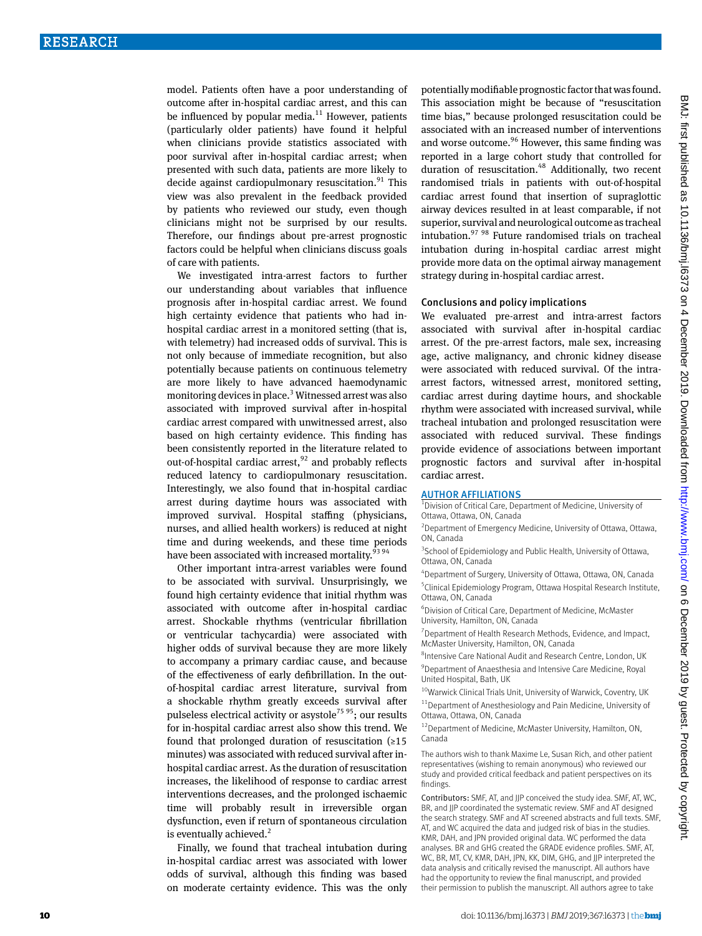model. Patients often have a poor understanding of outcome after in-hospital cardiac arrest, and this can be influenced by popular media. $11$  However, patients (particularly older patients) have found it helpful when clinicians provide statistics associated with poor survival after in-hospital cardiac arrest; when presented with such data, patients are more likely to decide against cardiopulmonary resuscitation.<sup>91</sup> This view was also prevalent in the feedback provided by patients who reviewed our study, even though clinicians might not be surprised by our results. Therefore, our findings about pre-arrest prognostic factors could be helpful when clinicians discuss goals of care with patients.

We investigated intra-arrest factors to further our understanding about variables that influence prognosis after in-hospital cardiac arrest. We found high certainty evidence that patients who had inhospital cardiac arrest in a monitored setting (that is, with telemetry) had increased odds of survival. This is not only because of immediate recognition, but also potentially because patients on continuous telemetry are more likely to have advanced haemodynamic monitoring devices in place.<sup>3</sup> Witnessed arrest was also associated with improved survival after in-hospital cardiac arrest compared with unwitnessed arrest, also based on high certainty evidence. This finding has been consistently reported in the literature related to out-of-hospital cardiac arrest, $92$  and probably reflects reduced latency to cardiopulmonary resuscitation. Interestingly, we also found that in-hospital cardiac arrest during daytime hours was associated with improved survival. Hospital staffing (physicians, nurses, and allied health workers) is reduced at night time and during weekends, and these time periods have been associated with increased mortality.<sup>93 94</sup>

Other important intra-arrest variables were found to be associated with survival. Unsurprisingly, we found high certainty evidence that initial rhythm was associated with outcome after in-hospital cardiac arrest. Shockable rhythms (ventricular fibrillation or ventricular tachycardia) were associated with higher odds of survival because they are more likely to accompany a primary cardiac cause, and because of the effectiveness of early defibrillation. In the outof-hospital cardiac arrest literature, survival from a shockable rhythm greatly exceeds survival after pulseless electrical activity or asystole<sup>75 95</sup>; our results for in-hospital cardiac arrest also show this trend. We found that prolonged duration of resuscitation  $(≥15$ minutes) was associated with reduced survival after inhospital cardiac arrest. As the duration of resuscitation increases, the likelihood of response to cardiac arrest interventions decreases, and the prolonged ischaemic time will probably result in irreversible organ dysfunction, even if return of spontaneous circulation is eventually achieved.<sup>2</sup>

Finally, we found that tracheal intubation during in-hospital cardiac arrest was associated with lower odds of survival, although this finding was based on moderate certainty evidence. This was the only

potentially modifiable prognostic factor that was found. This association might be because of "resuscitation time bias," because prolonged resuscitation could be associated with an increased number of interventions and worse outcome.<sup>96</sup> However, this same finding was reported in a large cohort study that controlled for duration of resuscitation.<sup>48</sup> Additionally, two recent randomised trials in patients with out-of-hospital cardiac arrest found that insertion of supraglottic airway devices resulted in at least comparable, if not superior, survival and neurological outcome as tracheal intubation.97 98 Future randomised trials on tracheal intubation during in-hospital cardiac arrest might provide more data on the optimal airway management strategy during in-hospital cardiac arrest.

#### Conclusions and policy implications

We evaluated pre-arrest and intra-arrest factors associated with survival after in-hospital cardiac arrest. Of the pre-arrest factors, male sex, increasing age, active malignancy, and chronic kidney disease were associated with reduced survival. Of the intraarrest factors, witnessed arrest, monitored setting, cardiac arrest during daytime hours, and shockable rhythm were associated with increased survival, while tracheal intubation and prolonged resuscitation were associated with reduced survival. These findings provide evidence of associations between important prognostic factors and survival after in-hospital cardiac arrest.

AUTHOR AFFILIATIONS<br><sup>1</sup>Division of Critical Care, Department of Medicine, University of Ottawa, Ottawa, ON, Canada

2 Department of Emergency Medicine, University of Ottawa, Ottawa, ON, Canada

<sup>3</sup> School of Epidemiology and Public Health, University of Ottawa, Ottawa, ON, Canada

4 Department of Surgery, University of Ottawa, Ottawa, ON, Canada 5 Clinical Epidemiology Program, Ottawa Hospital Research Institute, Ottawa, ON, Canada

6 Division of Critical Care, Department of Medicine, McMaster University, Hamilton, ON, Canada

<sup>7</sup> Department of Health Research Methods, Evidence, and Impact, McMaster University, Hamilton, ON, Canada

8 Intensive Care National Audit and Research Centre, London, UK <sup>9</sup> Department of Anaesthesia and Intensive Care Medicine, Royal United Hospital, Bath, UK

 $^{10}$ Warwick Clinical Trials Unit, University of Warwick, Coventry, UK

11Department of Anesthesiology and Pain Medicine, University of Ottawa, Ottawa, ON, Canada

12Department of Medicine, McMaster University, Hamilton, ON, Canada

The authors wish to thank Maxime Le, Susan Rich, and other patient representatives (wishing to remain anonymous) who reviewed our study and provided critical feedback and patient perspectives on its findings.

Contributors: SMF, AT, and JJP conceived the study idea. SMF, AT, WC, BR, and IIP coordinated the systematic review. SMF and AT designed the search strategy. SMF and AT screened abstracts and full texts. SMF, AT, and WC acquired the data and judged risk of bias in the studies. KMR, DAH, and JPN provided original data. WC performed the data analyses. BR and GHG created the GRADE evidence profiles. SMF, AT, WC, BR, MT, CV, KMR, DAH, JPN, KK, DIM, GHG, and JJP interpreted the data analysis and critically revised the manuscript. All authors have had the opportunity to review the final manuscript, and provided their permission to publish the manuscript. All authors agree to take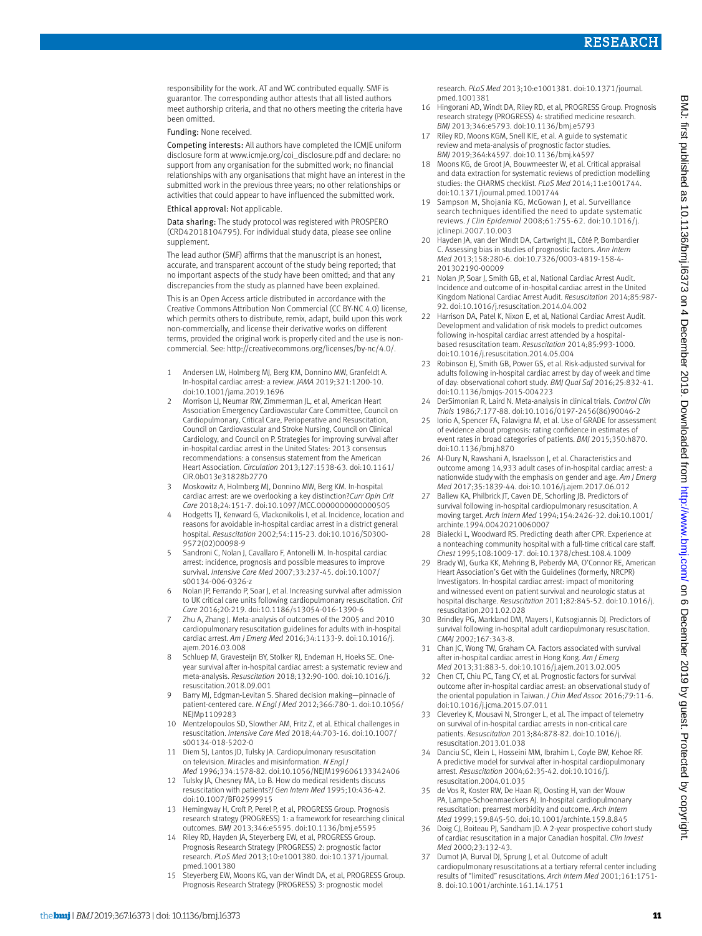responsibility for the work. AT and WC contributed equally. SMF is guarantor. The corresponding author attests that all listed authors meet authorship criteria, and that no others meeting the criteria have been omitted.

#### Funding: None received.

Competing interests: All authors have completed the ICMJE uniform disclosure form at [www.icmje.org/coi\\_disclosure.pdf](http://www.icmje.org/coi_disclosure.pdf) and declare: no support from any organisation for the submitted work; no financial relationships with any organisations that might have an interest in the submitted work in the previous three years; no other relationships or activities that could appear to have influenced the submitted work.

#### Ethical approval: Not applicable.

Data sharing: The study protocol was registered with PROSPERO (CRD42018104795). For individual study data, please see online supplement.

The lead author (SMF) affirms that the manuscript is an honest, accurate, and transparent account of the study being reported; that no important aspects of the study have been omitted; and that any discrepancies from the study as planned have been explained.

This is an Open Access article distributed in accordance with the Creative Commons Attribution Non Commercial (CC BY-NC 4.0) license, which permits others to distribute, remix, adapt, build upon this work non-commercially, and license their derivative works on different terms, provided the original work is properly cited and the use is noncommercial. See: [http://creativecommons.org/licenses/by-nc/4.0/.](http://creativecommons.org/licenses/by-nc/4.0/)

- 1 Andersen LW, Holmberg MJ, Berg KM, Donnino MW, Granfeldt A. In-hospital cardiac arrest: a review. *JAMA* 2019;321:1200-10. doi:10.1001/jama.2019.1696
- 2 Morrison LJ, Neumar RW, Zimmerman JL, et al, American Heart Association Emergency Cardiovascular Care Committee, Council on Cardiopulmonary, Critical Care, Perioperative and Resuscitation, Council on Cardiovascular and Stroke Nursing, Council on Clinical Cardiology, and Council on P. Strategies for improving survival after in-hospital cardiac arrest in the United States: 2013 consensus recommendations: a consensus statement from the American Heart Association. *Circulation* 2013;127:1538-63. doi:10.1161/ CIR.0b013e31828b2770
- 3 Moskowitz A, Holmberg MJ, Donnino MW, Berg KM. In-hospital cardiac arrest: are we overlooking a key distinction?*Curr Opin Crit Care* 2018;24:151-7. doi:10.1097/MCC.0000000000000505
- 4 Hodgetts TJ, Kenward G, Vlackonikolis I, et al. Incidence, location and reasons for avoidable in-hospital cardiac arrest in a district general hospital. *Resuscitation* 2002;54:115-23. doi:10.1016/S0300- 9572(02)00098-9
- 5 Sandroni C, Nolan J, Cavallaro F, Antonelli M. In-hospital cardiac arrest: incidence, prognosis and possible measures to improve survival. *Intensive Care Med* 2007;33:237-45. doi:10.1007/ s00134-006-0326-z
- 6 Nolan JP, Ferrando P, Soar J, et al. Increasing survival after admission to UK critical care units following cardiopulmonary resuscitation. *Crit Care* 2016;20:219. doi:10.1186/s13054-016-1390-6
- 7 Zhu A, Zhang J. Meta-analysis of outcomes of the 2005 and 2010 cardiopulmonary resuscitation guidelines for adults with in-hospital cardiac arrest. *Am J Emerg Med* 2016;34:1133-9. doi:10.1016/j. ajem.2016.03.008
- 8 Schluep M, Gravesteijn BY, Stolker RJ, Endeman H, Hoeks SE. Oneyear survival after in-hospital cardiac arrest: a systematic review and meta-analysis. *Resuscitation* 2018;132:90-100. doi:10.1016/j. resuscitation.2018.09.001
- 9 Barry MJ, Edgman-Levitan S. Shared decision making—pinnacle of patient-centered care. *N Engl J Med* 2012;366:780-1. doi:10.1056/ NFIMp1109283
- 10 Mentzelopoulos SD, Slowther AM, Fritz Z, et al. Ethical challenges in resuscitation. *Intensive Care Med* 2018;44:703-16. doi:10.1007/ s00134-018-5202-0
- 11 Diem SJ, Lantos JD, Tulsky JA. Cardiopulmonary resuscitation on television. Miracles and misinformation. *N Engl J Med* 1996;334:1578-82. doi:10.1056/NEJM199606133342406
- 12 Tulsky JA, Chesney MA, Lo B. How do medical residents discuss resuscitation with patients?*J Gen Intern Med* 1995;10:436-42. doi:10.1007/BF02599915
- 13 Hemingway H, Croft P, Perel P, et al, PROGRESS Group. Prognosis research strategy (PROGRESS) 1: a framework for researching clinical outcomes. *BMJ* 2013;346:e5595. doi:10.1136/bmj.e5595
- 14 Riley RD, Hayden JA, Steyerberg EW, et al, PROGRESS Group. Prognosis Research Strategy (PROGRESS) 2: prognostic factor research. *PLoS Med* 2013;10:e1001380. doi:10.1371/journal. pmed.1001380
- 15 Steyerberg EW, Moons KG, van der Windt DA, et al, PROGRESS Group. Prognosis Research Strategy (PROGRESS) 3: prognostic model

research. *PLoS Med* 2013;10:e1001381. doi:10.1371/journal. pmed.1001381

- 16 Hingorani AD, Windt DA, Riley RD, et al, PROGRESS Group. Prognosis research strategy (PROGRESS) 4: stratified medicine research. *BMJ* 2013;346:e5793. doi:10.1136/bmj.e5793
- 17 Riley RD, Moons KGM, Snell KIE, et al. A guide to systematic review and meta-analysis of prognostic factor studies. *BMJ* 2019;364:k4597. doi:10.1136/bmj.k4597
- 18 Moons KG, de Groot JA, Bouwmeester W, et al. Critical appraisal and data extraction for systematic reviews of prediction modelling studies: the CHARMS checklist. *PLoS Med* 2014;11:e1001744. doi:10.1371/journal.pmed.1001744
- 19 Sampson M, Shojania KG, McGowan J, et al. Surveillance search techniques identified the need to update systematic reviews. *J Clin Epidemiol* 2008;61:755-62. doi:10.1016/j. jclinepi.2007.10.003
- 20 Hayden JA, van der Windt DA, Cartwright JL, Côté P, Bombardier C. Assessing bias in studies of prognostic factors. *Ann Intern Med* 2013;158:280-6. doi:10.7326/0003-4819-158-4- 201302190-00009
- 21 Nolan JP, Soar J, Smith GB, et al, National Cardiac Arrest Audit. Incidence and outcome of in-hospital cardiac arrest in the United Kingdom National Cardiac Arrest Audit. *Resuscitation* 2014;85:987- 92. doi:10.1016/j.resuscitation.2014.04.002
- 22 Harrison DA, Patel K, Nixon E, et al, National Cardiac Arrest Audit. Development and validation of risk models to predict outcomes following in-hospital cardiac arrest attended by a hospitalbased resuscitation team. *Resuscitation* 2014;85:993-1000. doi:10.1016/j.resuscitation.2014.05.004
- 23 Robinson EJ, Smith GB, Power GS, et al. Risk-adjusted survival for adults following in-hospital cardiac arrest by day of week and time of day: observational cohort study. *BMJ Qual Saf* 2016;25:832-41. doi:10.1136/bmjqs-2015-004223
- 24 DerSimonian R, Laird N. Meta-analysis in clinical trials. *Control Clin Trials* 1986;7:177-88. doi:10.1016/0197-2456(86)90046-2
- 25 Iorio A, Spencer FA, Falavigna M, et al. Use of GRADE for assessment of evidence about prognosis: rating confidence in estimates of event rates in broad categories of patients. *BMJ* 2015;350:h870. doi:10.1136/bmj.h870
- 26 Al-Dury N, Rawshani A, Israelsson J, et al. Characteristics and outcome among 14,933 adult cases of in-hospital cardiac arrest: a nationwide study with the emphasis on gender and age. *Am J Emerg Med* 2017;35:1839-44. doi:10.1016/j.ajem.2017.06.012
- 27 Ballew KA, Philbrick JT, Caven DE, Schorling JB. Predictors of survival following in-hospital cardiopulmonary resuscitation. A moving target. *Arch Intern Med* 1994;154:2426-32. doi:10.1001/ archinte.1994.00420210060007
- 28 Bialecki L, Woodward RS. Predicting death after CPR. Experience at a nonteaching community hospital with a full-time critical care staff. *Chest* 1995;108:1009-17. doi:10.1378/chest.108.4.1009
- 29 Brady WJ, Gurka KK, Mehring B, Peberdy MA, O'Connor RE, American Heart Association's Get with the Guidelines (formerly, NRCPR) Investigators. In-hospital cardiac arrest: impact of monitoring and witnessed event on patient survival and neurologic status at hospital discharge. *Resuscitation* 2011;82:845-52. doi:10.1016/j. resuscitation.2011.02.028
- 30 Brindley PG, Markland DM, Mayers I, Kutsogiannis DJ. Predictors of survival following in-hospital adult cardiopulmonary resuscitation. *CMAJ* 2002;167:343-8.
- 31 Chan JC, Wong TW, Graham CA. Factors associated with survival after in-hospital cardiac arrest in Hong Kong. *Am J Emerg Med* 2013;31:883-5. doi:10.1016/j.ajem.2013.02.005
- 32 Chen CT, Chiu PC, Tang CY, et al. Prognostic factors for survival outcome after in-hospital cardiac arrest: an observational study of the oriental population in Taiwan. *J Chin Med Assoc* 2016;79:11-6. doi:10.1016/j.jcma.2015.07.011
- 33 Cleverley K, Mousavi N, Stronger L, et al. The impact of telemetry on survival of in-hospital cardiac arrests in non-critical care patients. *Resuscitation* 2013;84:878-82. doi:10.1016/j. resuscitation.2013.01.038
- 34 Danciu SC, Klein L, Hosseini MM, Ibrahim L, Coyle BW, Kehoe RF. A predictive model for survival after in-hospital cardiopulmonary arrest. *Resuscitation* 2004;62:35-42. doi:10.1016/j. resuscitation.2004.01.035
- 35 de Vos R, Koster RW, De Haan RJ, Oosting H, van der Wouw PA, Lampe-Schoenmaeckers AJ. In-hospital cardiopulmonary resuscitation: prearrest morbidity and outcome. *Arch Intern Med* 1999;159:845-50. doi:10.1001/archinte.159.8.845
- 36 Doig CJ, Boiteau PJ, Sandham JD. A 2-year prospective cohort study of cardiac resuscitation in a major Canadian hospital. *Clin Invest Med* 2000;23:132-43.
- 37 Dumot JA, Burval DJ, Sprung J, et al. Outcome of adult cardiopulmonary resuscitations at a tertiary referral center including results of "limited" resuscitations. *Arch Intern Med* 2001;161:1751- 8. doi:10.1001/archinte.161.14.1751

BMJ: first published as 10.1136/bmj.16373 on 4 December 2019. Downloaded from http://www.bmj.com/ on 6 December 2019 by guest. Protected by copyright BMJ: first published as 10.1136/bmj.l6373 on 4 December 2019. Downloaded from <http://www.bmj.com/> on 6 December 2019 by guest. Protected by copyright.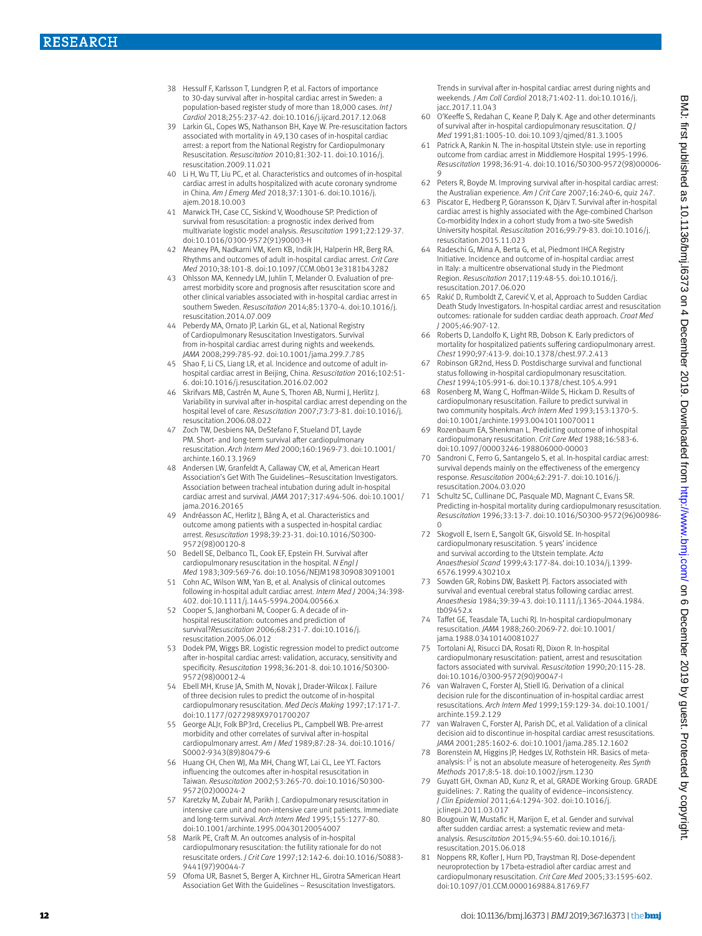- 38 Hessulf F, Karlsson T, Lundgren P, et al. Factors of importance to 30-day survival after in-hospital cardiac arrest in Sweden: a population-based register study of more than 18,000 cases. *Int J Cardiol* 2018;255:237-42. doi:10.1016/j.ijcard.2017.12.068
- 39 Larkin GL, Copes WS, Nathanson BH, Kaye W. Pre-resuscitation factors associated with mortality in 49,130 cases of in-hospital cardiac arrest: a report from the National Registry for Cardiopulmonary Resuscitation. *Resuscitation* 2010;81:302-11. doi:10.1016/j. resuscitation.2009.11.021
- 40 Li H, Wu TT, Liu PC, et al. Characteristics and outcomes of in-hospital cardiac arrest in adults hospitalized with acute coronary syndrome in China. *Am J Emerg Med* 2018;37:1301-6. doi:10.1016/j. ajem.2018.10.003
- 41 Marwick TH, Case CC, Siskind V, Woodhouse SP. Prediction of survival from resuscitation: a prognostic index derived from multivariate logistic model analysis. *Resuscitation* 1991;22:129-37. doi:10.1016/0300-9572(91)90003-H
- 42 Meaney PA, Nadkarni VM, Kern KB, Indik JH, Halperin HR, Berg RA. Rhythms and outcomes of adult in-hospital cardiac arrest. *Crit Care Med* 2010;38:101-8. doi:10.1097/CCM.0b013e3181b43282
- 43 Ohlsson MA, Kennedy LM, Juhlin T, Melander O. Evaluation of prearrest morbidity score and prognosis after resuscitation score and other clinical variables associated with in-hospital cardiac arrest in southern Sweden. *Resuscitation* 2014;85:1370-4. doi:10.1016/j. resuscitation.2014.07.009
- 44 Peberdy MA, Ornato JP, Larkin GL, et al, National Registry of Cardiopulmonary Resuscitation Investigators. Survival from in-hospital cardiac arrest during nights and weekends. *JAMA* 2008;299:785-92. doi:10.1001/jama.299.7.785
- 45 Shao F, Li CS, Liang LR, et al. Incidence and outcome of adult inhospital cardiac arrest in Beijing, China. *Resuscitation* 2016;102:51- 6. doi:10.1016/j.resuscitation.2016.02.002
- 46 Skrifvars MB, Castrén M, Aune S, Thoren AB, Nurmi J, Herlitz J. Variability in survival after in-hospital cardiac arrest depending on the hospital level of care. *Resuscitation* 2007;73:73-81. doi:10.1016/j. resuscitation.2006.08.022
- Zoch TW, Desbiens NA, DeStefano F, Stueland DT, Layde PM. Short- and long-term survival after cardiopulmonary resuscitation. *Arch Intern Med* 2000;160:1969-73. doi:10.1001/ archinte.160.13.1969
- 48 Andersen LW, Granfeldt A, Callaway CW, et al, American Heart Association's Get With The Guidelines–Resuscitation Investigators. Association between tracheal intubation during adult in-hospital cardiac arrest and survival. *JAMA* 2017;317:494-506. doi:10.1001/ jama.2016.20165
- 49 Andréasson AC, Herlitz J, Bång A, et al. Characteristics and outcome among patients with a suspected in-hospital cardiac arrest. *Resuscitation* 1998;39:23-31. doi:10.1016/S0300- 9572(98)00120-8
- 50 Bedell SE, Delbanco TL, Cook EF, Epstein FH. Survival after cardiopulmonary resuscitation in the hospital. *N Engl J Med* 1983;309:569-76. doi:10.1056/NEJM198309083091001
- 51 Cohn AC, Wilson WM, Yan B, et al. Analysis of clinical outcomes following in-hospital adult cardiac arrest. *Intern Med J* 2004;34:398- 402. doi:10.1111/j.1445-5994.2004.00566.x
- 52 Cooper S, Janghorbani M, Cooper G. A decade of inhospital resuscitation: outcomes and prediction of survival?*Resuscitation* 2006;68:231-7. doi:10.1016/j. resuscitation.2005.06.012
- 53 Dodek PM, Wiggs BR. Logistic regression model to predict outcome after in-hospital cardiac arrest: validation, accuracy, sensitivity and specificity. *Resuscitation* 1998;36:201-8. doi:10.1016/S0300- 9572(98)00012-4
- 54 Ebell MH, Kruse JA, Smith M, Novak J, Drader-Wilcox J. Failure of three decision rules to predict the outcome of in-hospital cardiopulmonary resuscitation. *Med Decis Making* 1997;17:171-7. doi:10.1177/0272989X9701700207
- 55 George ALJr, Folk BP3rd, Crecelius PL, Campbell WB. Pre-arrest morbidity and other correlates of survival after in-hospital cardiopulmonary arrest. *Am J Med* 1989;87:28-34. doi:10.1016/ S0002-9343(89)80479-6
- 56 Huang CH, Chen WJ, Ma MH, Chang WT, Lai CL, Lee YT. Factors influencing the outcomes after in-hospital resuscitation in Taiwan. *Resuscitation* 2002;53:265-70. doi:10.1016/S0300- 9572(02)00024-2
- 57 Karetzky M, Zubair M, Parikh J. Cardiopulmonary resuscitation in intensive care unit and non-intensive care unit patients. Immediate and long-term survival. *Arch Intern Med* 1995;155:1277-80. doi:10.1001/archinte.1995.00430120054007
- 58 Marik PE, Craft M. An outcomes analysis of in-hospital cardiopulmonary resuscitation: the futility rationale for do not resuscitate orders. *J Crit Care* 1997;12:142-6. doi:10.1016/S0883- 9441(97)90044-7
- 59 Ofoma UR, Basnet S, Berger A, Kirchner HL, Girotra SAmerican Heart Association Get With the Guidelines – Resuscitation Investigators.

Trends in survival after in-hospital cardiac arrest during nights and weekends. *J Am Coll Cardiol* 2018;71:402-11. doi:10.1016/j. jacc.2017.11.043

- 60 O'Keeffe S, Redahan C, Keane P, Daly K. Age and other determinants of survival after in-hospital cardiopulmonary resuscitation. *Q J Med* 1991;81:1005-10. doi:10.1093/qjmed/81.3.1005
- 61 Patrick A, Rankin N. The in-hospital Utstein style: use in reporting outcome from cardiac arrest in Middlemore Hospital 1995-1996. *Resuscitation* 1998;36:91-4. doi:10.1016/S0300-9572(98)00006- 9
- 62 Peters R, Boyde M. Improving survival after in-hospital cardiac arrest: the Australian experience. *Am J Crit Care* 2007;16:240-6, quiz 247.
- 63 Piscator E, Hedberg P, Göransson K, Djärv T. Survival after in-hospital cardiac arrest is highly associated with the Age-combined Charlson Co-morbidity Index in a cohort study from a two-site Swedish University hospital. *Resuscitation* 2016;99:79-83. doi:10.1016/j. resuscitation.2015.11.023
- 64 Radeschi G, Mina A, Berta G, et al, Piedmont IHCA Registry Initiative. Incidence and outcome of in-hospital cardiac arrest in Italy: a multicentre observational study in the Piedmont Region. *Resuscitation* 2017;119:48-55. doi:10.1016/j. resuscitation.2017.06.020
- 65 Rakić D, Rumboldt Z, Carević V, et al, Approach to Sudden Cardiac Death Study Investigators. In-hospital cardiac arrest and resuscitation outcomes: rationale for sudden cardiac death approach. *Croat Med J* 2005;46:907-12.
- 66 Roberts D, Landolfo K, Light RB, Dobson K. Early predictors of mortality for hospitalized patients suffering cardiopulmonary arrest. *Chest* 1990;97:413-9. doi:10.1378/chest.97.2.413
- 67 Robinson GR2nd, Hess D. Postdischarge survival and functional status following in-hospital cardiopulmonary resuscitation. *Chest* 1994;105:991-6. doi:10.1378/chest.105.4.991
- 68 Rosenberg M, Wang C, Hoffman-Wilde S, Hickam D. Results of cardiopulmonary resuscitation. Failure to predict survival in two community hospitals. *Arch Intern Med* 1993;153:1370-5. doi:10.1001/archinte.1993.00410110070011
- Rozenbaum EA, Shenkman L. Predicting outcome of inhospital cardiopulmonary resuscitation. *Crit Care Med* 1988;16:583-6. doi:10.1097/00003246-198806000-00003
- Sandroni C, Ferro G, Santangelo S, et al. In-hospital cardiac arrest: survival depends mainly on the effectiveness of the emergency response. *Resuscitation* 2004;62:291-7. doi:10.1016/j. resuscitation.2004.03.020
- 71 Schultz SC, Cullinane DC, Pasquale MD, Magnant C, Evans SR. Predicting in-hospital mortality during cardiopulmonary resuscitation. *Resuscitation* 1996;33:13-7. doi:10.1016/S0300-9572(96)00986- 0
- 72 Skogvoll E, Isern E, Sangolt GK, Gisvold SE. In-hospital cardiopulmonary resuscitation. 5 years' incidence and survival according to the Utstein template. *Acta Anaesthesiol Scand* 1999;43:177-84. doi:10.1034/j.1399- 6576.1999.430210.x
- 73 Sowden GR, Robins DW, Baskett PJ. Factors associated with survival and eventual cerebral status following cardiac arrest. *Anaesthesia* 1984;39:39-43. doi:10.1111/j.1365-2044.1984. tb09452.x
- 74 Taffet GE, Teasdale TA, Luchi RJ. In-hospital cardiopulmonary resuscitation. *JAMA* 1988;260:2069-72. doi:10.1001/ jama.1988.03410140081027
- 75 Tortolani AJ, Risucci DA, Rosati RJ, Dixon R. In-hospital cardiopulmonary resuscitation: patient, arrest and resuscitation factors associated with survival. *Resuscitation* 1990;20:115-28. doi:10.1016/0300-9572(90)90047-I
- 76 van Walraven C, Forster AJ, Stiell IG. Derivation of a clinical decision rule for the discontinuation of in-hospital cardiac arrest resuscitations. *Arch Intern Med* 1999;159:129-34. doi:10.1001/ archinte.159.2.129
- van Walraven C, Forster AJ, Parish DC, et al. Validation of a clinical decision aid to discontinue in-hospital cardiac arrest resuscitations. *JAMA* 2001;285:1602-6. doi:10.1001/jama.285.12.1602
- 78 Borenstein M, Higgins JP, Hedges LV, Rothstein HR. Basics of metaanalysis: I<sup>2</sup> is not an absolute measure of heterogeneity. Res Synth *Methods* 2017;8:5-18. doi:10.1002/jrsm.1230
- 79 Guyatt GH, Oxman AD, Kunz R, et al, GRADE Working Group. GRADE guidelines: 7. Rating the quality of evidence–inconsistency. *J Clin Epidemiol* 2011;64:1294-302. doi:10.1016/j. clinepi.2011.03.017
- 80 Bougouin W, Mustafic H, Marijon E, et al. Gender and survival after sudden cardiac arrest: a systematic review and metaanalysis. *Resuscitation* 2015;94:55-60. doi:10.1016/j. resuscitation.2015.06.018
- 81 Noppens RR, Kofler J, Hurn PD, Traystman RJ. Dose-dependent neuroprotection by 17beta-estradiol after cardiac arrest and cardiopulmonary resuscitation. *Crit Care Med* 2005;33:1595-602. doi:10.1097/01.CCM.0000169884.81769.F7